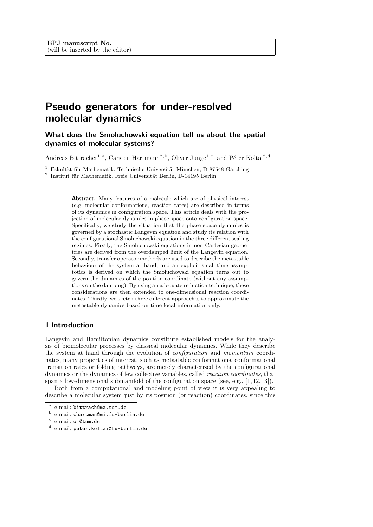# Pseudo generators for under-resolved molecular dynamics

## What does the Smoluchowski equation tell us about the spatial dynamics of molecular systems?

Andreas Bittracher<sup>1,a</sup>, Carsten Hartmann<sup>2,b</sup>, Oliver Junge<sup>1,c</sup>, and Péter Koltai<sup>2,d</sup>

<sup>1</sup> Fakultät für Mathematik, Technische Universität München, D-87548 Garching

 $2$  Institut für Mathematik, Freie Universität Berlin, D-14195 Berlin

Abstract. Many features of a molecule which are of physical interest (e.g. molecular conformations, reaction rates) are described in terms of its dynamics in configuration space. This article deals with the projection of molecular dynamics in phase space onto configuration space. Specifically, we study the situation that the phase space dynamics is governed by a stochastic Langevin equation and study its relation with the configurational Smoluchowski equation in the three different scaling regimes: Firstly, the Smoluchowski equations in non-Cartesian geometries are derived from the overdamped limit of the Langevin equation. Secondly, transfer operator methods are used to describe the metastable behaviour of the system at hand, and an explicit small-time asymptotics is derived on which the Smoluchowski equation turns out to govern the dynamics of the position coordinate (without any assumptions on the damping). By using an adequate reduction technique, these considerations are then extended to one-dimensional reaction coordinates. Thirdly, we sketch three different approaches to approximate the metastable dynamics based on time-local information only.

# 1 Introduction

Langevin and Hamiltonian dynamics constitute established models for the analysis of biomolecular processes by classical molecular dynamics. While they describe the system at hand through the evolution of configuration and momentum coordinates, many properties of interest, such as metastable conformations, conformational transition rates or folding pathways, are merely characterized by the configurational dynamics or the dynamics of few collective variables, called reaction coordinates, that span a low-dimensional submanifold of the configuration space (see, e.g., [1, 12, 13]).

Both from a computational and modeling point of view it is very appealing to describe a molecular system just by its position (or reaction) coordinates, since this

a e-mail: bittrach@ma.tum.de

<sup>&</sup>lt;sup>b</sup> e-mail: c<mark>hartman@mi.fu-berlin.de</mark>

<sup>&</sup>lt;sup>c</sup> e-mail: oj@tum.de

 $^{\rm d}$  e-mail: peter.koltai@fu-berlin.de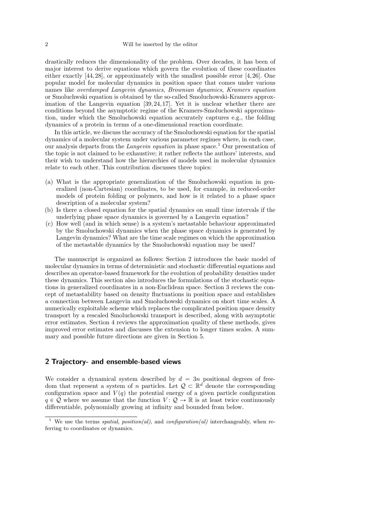drastically reduces the dimensionality of the problem. Over decades, it has been of major interest to derive equations which govern the evolution of these coordinates either exactly  $[44, 28]$ , or approximately with the smallest possible error  $[4, 26]$ . One popular model for molecular dynamics in position space that comes under various names like overdamped Langevin dynamics, Brownian dynamics, Kramers equation or Smoluchwski equation is obtained by the so-called Smoluchowski-Kramers approximation of the Langevin equation [39, 24, 17]. Yet it is unclear whether there are conditions beyond the asymptotic regime of the Kramers-Smoluchowski approximation, under which the Smoluchowski equation accurately captures e.g., the folding dynamics of a protein in terms of a one-dimensional reaction coordinate.

In this article, we discuss the accuracy of the Smoluchowski equation for the spatial dynamics of a molecular system under various parameter regimes where, in each case, our analysis departs from the Langevin equation in phase space.<sup>1</sup> Our presentation of the topic is not claimed to be exhaustive; it rather reflects the authors' interests, and their wish to understand how the hierarchies of models used in molecular dynamics relate to each other. This contribution discusses three topics:

- (a) What is the appropriate generalization of the Smoluchowski equation in generalized (non-Cartesian) coordinates, to be used, for example, in reduced-order models of protein folding or polymers, and how is it related to a phase space description of a molecular system?
- (b) Is there a closed equation for the spatial dynamics on small time intervals if the underlying phase space dynamics is governed by a Langevin equation?
- (c) How well (and in which sense) is a system's metastable behaviour approximated by the Smoluchowski dynamics when the phase space dynamics is generated by Langevin dynamics? What are the time scale regimes on which the approximation of the metastable dynamics by the Smoluchowski equation may be used?

The manuscript is organized as follows: Section 2 introduces the basic model of molecular dynamics in terms of deterministic and stochastic differential equations and describes an operator-based framework for the evolution of probability densities under these dynamics. This section also introduces the formulations of the stochastic equations in generalized coordinates in a non-Euclidean space. Section 3 reviews the concept of metastability based on density fluctuations in position space and establishes a connection between Langevin and Smoluchowski dynamics on short time scales. A numerically exploitable scheme which replaces the complicated position space density transport by a rescaled Smoluchowski transport is described, along with asymptotic error estimates. Section 4 reviews the approximation quality of these methods, gives improved error estimates and discusses the extension to longer times scales. A summary and possible future directions are given in Section 5.

## 2 Trajectory- and ensemble-based views

We consider a dynamical system described by  $d = 3n$  positional degrees of freedom that represent a system of n particles. Let  $\mathcal{Q} \subset \mathbb{R}^d$  denote the corresponding configuration space and  $V(q)$  the potential energy of a given particle configuration  $q \in \mathcal{Q}$  where we assume that the function  $V : \mathcal{Q} \to \mathbb{R}$  is at least twice continuously differentiable, polynomially growing at infinity and bounded from below.

<sup>&</sup>lt;sup>1</sup> We use the terms *spatial, position(al)*, and *configuration(al)* interchangeably, when referring to coordinates or dynamics.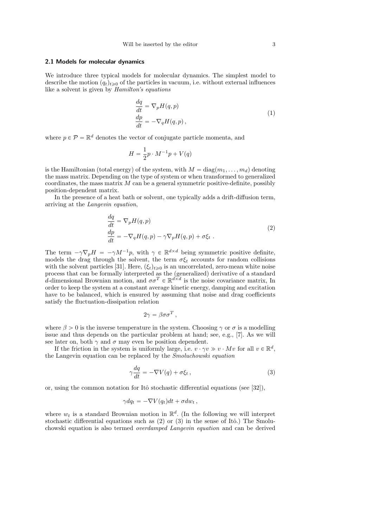#### 2.1 Models for molecular dynamics

We introduce three typical models for molecular dynamics. The simplest model to describe the motion  $(q_t)_{t\geq0}$  of the particles in vacuum, i.e. without external influences like a solvent is given by Hamilton's equations

$$
\begin{aligned}\n\frac{dq}{dt} &= \nabla_p H(q, p) \\
\frac{dp}{dt} &= -\nabla_q H(q, p) ,\n\end{aligned} \tag{1}
$$

where  $p \in \mathcal{P} = \mathbb{R}^d$  denotes the vector of conjugate particle momenta, and

$$
H = \frac{1}{2}p \cdot M^{-1}p + V(q)
$$

is the Hamiltonian (total energy) of the system, with  $M = \text{diag}(m_1, \ldots, m_d)$  denoting the mass matrix. Depending on the type of system or when transformed to generalized coordinates, the mass matrix  $M$  can be a general symmetric positive-definite, possibly position-dependent matrix.

In the presence of a heat bath or solvent, one typically adds a drift-diffusion term, arriving at the Langevin equation,

$$
\begin{aligned} \frac{dq}{dt} &= \nabla_p H(q, p) \\ \frac{dp}{dt} &= -\nabla_q H(q, p) - \gamma \nabla_p H(q, p) + \sigma \xi_t \end{aligned} \tag{2}
$$

The term  $-\gamma \nabla_p H = -\gamma M^{-1}p$ , with  $\gamma \in \mathbb{R}^{d \times d}$  being symmetric positive definite, models the drag through the solvent, the term  $\sigma \xi_t$  accounts for random collisions with the solvent particles [31]. Here,  $(\xi_t)_{t\geq0}$  is an uncorrelated, zero-mean white noise process that can be formally interpreted as the (generalized) derivative of a standard d-dimensional Brownian motion, and  $\sigma \sigma^T \in \mathbb{R}^{d \times d}$  is the noise covariance matrix, In order to keep the system at a constant average kinetic energy, damping and excitation have to be balanced, which is ensured by assuming that noise and drag coefficients satisfy the fluctuation-dissipation relation

$$
2\gamma = \beta \sigma \sigma^T,
$$

where  $\beta > 0$  is the inverse temperature in the system. Choosing  $\gamma$  or  $\sigma$  is a modelling issue and thus depends on the particular problem at hand; see, e.g., [7]. As we will see later on, both  $\gamma$  and  $\sigma$  may even be position dependent.

If the friction in the system is uniformly large, i.e.  $v \cdot \gamma v \gg v \cdot Mv$  for all  $v \in \mathbb{R}^d$ , the Langevin equation can be replaced by the Smoluchowski equation

$$
\gamma \frac{dq}{dt} = -\nabla V(q) + \sigma \xi_t, \qquad (3)
$$

or, using the common notation for Itô stochastic differential equations (see [32]).

$$
\gamma dq_t = -\nabla V(q_t)dt + \sigma dw_t,
$$

where  $w_t$  is a standard Brownian motion in  $\mathbb{R}^d$ . (In the following we will interpret stochastic differential equations such as  $(2)$  or  $(3)$  in the sense of Itô.) The Smoluchowski equation is also termed overdamped Langevin equation and can be derived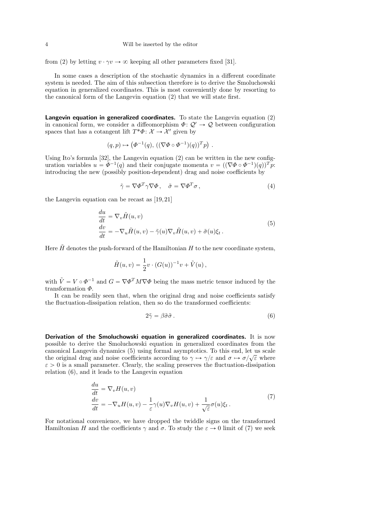from (2) by letting  $v \cdot \gamma v \to \infty$  keeping all other parameters fixed [31].

In some cases a description of the stochastic dynamics in a different coordinate system is needed. The aim of this subsection therefore is to derive the Smoluchowski equation in generalized coordinates. This is most conveniently done by resorting to the canonical form of the Langevin equation (2) that we will state first.

Langevin equation in generalized coordinates. To state the Langevin equation (2) in canonical form, we consider a diffeomorphism  $\Phi: \mathcal{Q}' \to \mathcal{Q}$  between configuration spaces that has a cotangent lift  $T^*\Phi: \mathcal{X} \to \mathcal{X}'$  given by

$$
(q,p) \mapsto (\varPhi^{-1}(q), ((\nabla \varPhi \circ \varPhi^{-1})(q))^T p) .
$$

Using Ito's formula [32], the Langevin equation (2) can be written in the new configuration variables  $u = \Phi^{-1}(q)$  and their conjugate momenta  $v = ((\nabla \Phi \circ \Phi^{-1})(q))^T p$ : introducing the new (possibly position-dependent) drag and noise coefficients by

$$
\tilde{\gamma} = \nabla \Phi^T \gamma \nabla \Phi, \quad \tilde{\sigma} = \nabla \Phi^T \sigma,
$$
\n(4)

the Langevin equation can be recast as [19, 21]

$$
\begin{aligned}\n\frac{du}{dt} &= \nabla_v \tilde{H}(u, v) \\
\frac{dv}{dt} &= -\nabla_u \tilde{H}(u, v) - \tilde{\gamma}(u)\nabla_v \tilde{H}(u, v) + \tilde{\sigma}(u)\xi_t.\n\end{aligned} \tag{5}
$$

Here  $\tilde{H}$  denotes the push-forward of the Hamiltonian H to the new coordinate system,

$$
\tilde{H}(u, v) = \frac{1}{2}v \cdot (G(u))^{-1}v + \tilde{V}(u),
$$

with  $\tilde{V} = V \circ \Phi^{-1}$  and  $G = \nabla \Phi^{T} M \nabla \Phi$  being the mass metric tensor induced by the transformation Φ.

It can be readily seen that, when the original drag and noise coefficients satisfy the fluctuation-dissipation relation, then so do the transformed coefficients:

$$
2\tilde{\gamma} = \beta \tilde{\sigma} \tilde{\sigma} \,. \tag{6}
$$

Derivation of the Smoluchowski equation in generalized coordinates. It is now possible to derive the Smoluchowski equation in generalized coordinates from the canonical Langevin dynamics  $(5)$  using formal asymptotics. To this end, let us scale the original drag and noise coefficients according to  $\gamma \mapsto \gamma/\varepsilon$  and  $\sigma \mapsto \sigma/\sqrt{\varepsilon}$  where  $\varepsilon > 0$  is a small parameter. Clearly, the scaling preserves the fluctuation-dissipation relation (6), and it leads to the Langevin equation

$$
\begin{aligned}\n\frac{du}{dt} &= \nabla_v H(u, v) \\
\frac{dv}{dt} &= -\nabla_u H(u, v) - \frac{1}{\varepsilon} \gamma(u) \nabla_v H(u, v) + \frac{1}{\sqrt{\varepsilon}} \sigma(u) \xi_t \,. \n\end{aligned} \tag{7}
$$

For notational convenience, we have dropped the twiddle signs on the transformed Hamiltonian H and the coefficients  $\gamma$  and  $\sigma$ . To study the  $\varepsilon \to 0$  limit of (7) we seek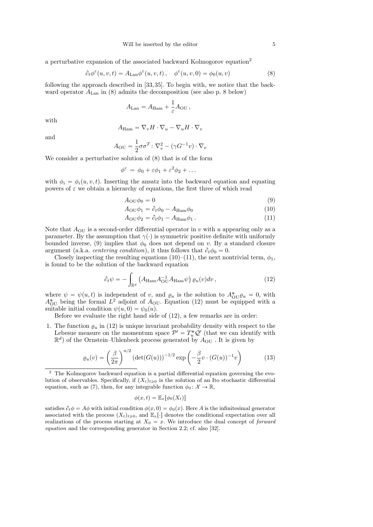a perturbative expansion of the associated backward Kolmogorov equation<sup>2</sup>

$$
\partial_t \phi^{\varepsilon}(u, v, t) = A_{\text{Lan}} \phi^{\varepsilon}(u, v, t), \quad \phi^{\varepsilon}(u, v, 0) = \phi_0(u, v)
$$
\n(8)

following the approach described in [33, 35]. To begin with, we notice that the backward operator  $A_{\text{Lan}}$  in (8) admits the decomposition (see also p. 8 below)

$$
A_{\text{Lan}} = A_{\text{Ham}} + \frac{1}{\varepsilon} A_{\text{OU}} \,,
$$

with

$$
A_{\text{Ham}} = \nabla_v H \cdot \nabla_u - \nabla_u H \cdot \nabla_v
$$

and

$$
A_{\rm OU} = \frac{1}{2}\sigma\sigma^T\colon \nabla_v^2 - (\gamma G^{-1}v) \cdot \nabla_v
$$

We consider a perturbative solution of (8) that is of the form

$$
\phi^{\varepsilon} = \phi_0 + \varepsilon \phi_1 + \varepsilon^2 \phi_2 + \dots
$$

with  $\phi_i = \phi_i(u, v, t)$ . Inserting the ansatz into the backward equation and equating powers of  $\varepsilon$  we obtain a hierarchy of equations, the first three of which read

$$
A_{\text{OU}}\phi_0 = 0\tag{9}
$$

$$
A_{\text{OU}}\phi_1 = \partial_t \phi_0 - A_{\text{Ham}}\phi_0 \tag{10}
$$

$$
A_{\text{OU}}\phi_2 = \partial_t \phi_1 - A_{\text{Ham}}\phi_1. \tag{11}
$$

Note that  $A_{\text{OU}}$  is a second-order differential operator in v with u appearing only as a parameter. By the assumption that  $\gamma(\cdot)$  is symmetric positive definite with uniformly bounded inverse, (9) implies that  $\phi_0$  does not depend on v. By a standard closure argument (a.k.a. *centering condition*), it thus follows that  $\partial_t \phi_0 = 0$ .

Closely inspecting the resulting equations (10)–(11), the next nontrivial term,  $\phi_1$ , is found to be the solution of the backward equation

$$
\partial_t \psi = -\int_{\mathbb{R}^d} \left( A_{\text{Ham}} A_{\text{OU}}^{-1} A_{\text{Ham}} \psi \right) \varrho_u(v) dv , \qquad (12)
$$

where  $\psi = \psi(u, t)$  is independent of v, and  $\varrho_u$  is the solution to  $A^*_{\text{OU}}\varrho_u = 0$ , with  $A_{\text{OU}}^*$  being the formal  $L^2$  adjoint of  $A_{\text{OU}}$ . Equation (12) must be equipped with a suitable initial condition  $\psi(u, 0) = \psi_0(u)$ .

Before we evaluate the right hand side of  $(12)$ , a few remarks are in order:

1. The function  $\varrho_u$  in (12) is unique invariant probability density with respect to the Lebesue measure on the momentum space  $\mathcal{P}' = T^*_{u} \mathcal{Q}'$  (that we can identify with  $\mathbb{R}^d$ ) of the Ornstein–Uhlenbeck process generated by  $A_{\text{OU}}$ . It is given by

$$
\varrho_u(v) = \left(\frac{\beta}{2\pi}\right)^{n/2} \left(\det(G(u))\right)^{-1/2} \exp\left(-\frac{\beta}{2}v \cdot (G(u))^{-1}v\right) \tag{13}
$$

<sup>2</sup> The Kolmogorov backward equation is a partial differential equation governing the evolution of observables. Specifically, if  $(X_t)_{t\geq0}$  is the solution of an Ito stochastic differential equation, such as (7), then, for any integrable function  $\phi_0 \colon \mathcal{X} \to \mathbb{R}$ ,

$$
\phi(x,t) = \mathbb{E}_x[\phi_0(X_t)]
$$

satisfies  $\partial_t \phi = A\phi$  with initial condition  $\phi(x, 0) = \phi_0(x)$ . Here A is the infinitesimal generator associated with the process  $(X_t)_{t\geq0}$ , and  $\mathbb{E}_x[\cdot]$  denotes the conditional expectation over all realizations of the process starting at  $X_0 = x$ . We introduce the dual concept of *forward* equation and the corresponding generator in Section 2.2; cf. also [32].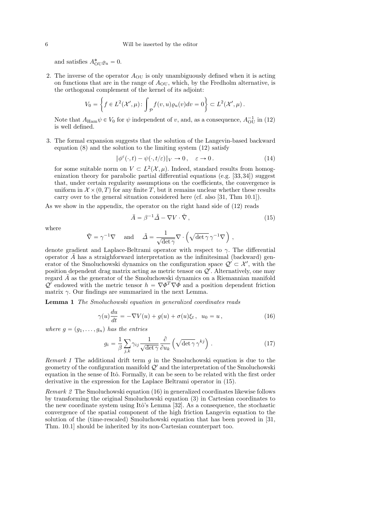and satisfies  $A_{\text{OU}}^* \varrho_u = 0$ .

2. The inverse of the operator  $A_{\text{OU}}$  is only unambiguously defined when it is acting on functions that are in the range of  $A_{\text{OU}}$ , which, by the Fredholm alternative, is the orthogonal complement of the kernel of its adjoint: \*

$$
V_0 = \left\{ f \in L^2(\mathcal{X}', \mu) : \int_{\mathcal{P}} f(v, u) \varrho_u(v) dv = 0 \right\} \subset L^2(\mathcal{X}', \mu) .
$$

Note that  $A_{\text{Ham}} \psi \in V_0$  for  $\psi$  independent of v, and, as a consequence,  $A_{\text{OU}}^{-1}$  in (12) is well defined.

3. The formal expansion suggests that the solution of the Langevin-based backward equation (8) and the solution to the limiting system (12) satisfy

$$
\|\phi^{\varepsilon}(\cdot,t) - \psi(\cdot,t/\varepsilon)\|_{V} \to 0, \quad \varepsilon \to 0.
$$
\n(14)

for some suitable norm on  $V \subset L^2(\mathcal{X}, \mu)$ . Indeed, standard results from homogenization theory for parabolic partial differential equations (e.g. [33, 34]) suggest that, under certain regularity assumptions on the coefficients, the convergence is uniform in  $\mathcal{X} \times (0, T)$  for any finite T, but it remains unclear whether these results carry over to the general situation considered here (cf. also [31, Thm 10.1]).

As we show in the appendix, the operator on the right hand side of (12) reads

$$
\bar{A} = \beta^{-1}\tilde{\Delta} - \nabla V \cdot \tilde{\nabla},\tag{15}
$$

where

$$
\tilde{\nabla} = \gamma^{-1} \nabla
$$
 and  $\tilde{\Delta} = \frac{1}{\sqrt{\det \gamma}} \nabla \cdot (\sqrt{\det \gamma} \gamma^{-1} \nabla),$ 

denote gradient and Laplace-Beltrami operator with respect to  $\gamma$ . The differential operator  $\overline{A}$  has a straighforward interpretation as the infinitesimal (backward) generator of the Smoluchowski dynamics on the configuration space  $\mathcal{Q}' \subset \mathcal{X}'$ , with the position dependent drag matrix acting as metric tensor on  $\mathcal{Q}'$ . Alternatively, one may regard  $\overline{A}$  as the generator of the Smoluchowski dynamics on a Riemannian manifold  $Q^{\dagger}$  endowed with the metric tensor  $h = \nabla \Phi^T \nabla \Phi$  and a position dependent friction matrix  $\gamma$ . Our findings are summarized in the next Lemma.

Lemma 1 The Smoluchowski equation in generalized coordinates reads

$$
\gamma(u)\frac{du}{dt} = -\nabla V(u) + g(u) + \sigma(u)\xi_t, \ \ u_0 = u,
$$
\n(16)

where  $g = (g_1, \ldots, g_n)$  has the entries

$$
g_i = \frac{1}{\beta} \sum_{j,k} \gamma_{ij} \frac{1}{\sqrt{\det \gamma}} \frac{\partial}{\partial u_k} \left( \sqrt{\det \gamma} \gamma^{kj} \right).
$$
 (17)

Remark 1 The additional drift term  $g$  in the Smoluchowski equation is due to the geometry of the configuration manifold  $\mathcal{Q}'$  and the interpretation of the Smoluchowski equation in the sense of Itô. Formally, it can be seen to be related with the first order derivative in the expression for the Laplace Beltrami operator in (15).

Remark 2 The Smoluchowski equation (16) in generalized coordinates likewise follows by transforming the original Smoluchowski equation (3) in Cartesian coordinates to the new coordinate system using Itô's Lemma [32]. As a consequence, the stochastic convergence of the spatial component of the high friction Langevin equation to the solution of the (time-rescaled) Smoluchowski equation that has been proved in [31, Thm. 10.1] should be inherited by its non-Cartesian counterpart too.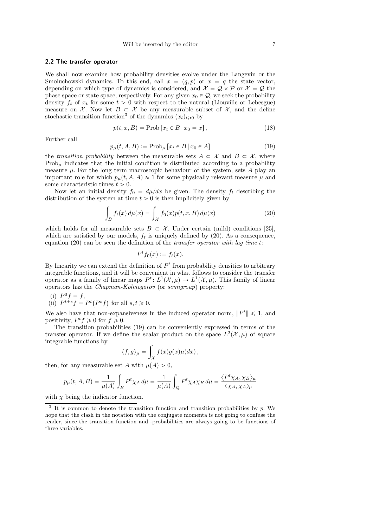#### 2.2 The transfer operator

We shall now examine how probability densities evolve under the Langevin or the Smoluchowski dynamics. To this end, call  $x = (q, p)$  or  $x = q$  the state vector, depending on which type of dynamics is considered, and  $\mathcal{X} = \mathcal{Q} \times \mathcal{P}$  or  $\mathcal{X} = \mathcal{Q}$  the phase space or state space, respectively. For any given  $x_0 \in \mathcal{Q}$ , we seek the probability density  $f_t$  of  $x_t$  for some  $t > 0$  with respect to the natural (Liouville or Lebesgue) measure on X. Now let  $B \subset X$  be any measurable subset of X, and the define stochastic transition function<sup>3</sup> of the dynamics  $(x_t)_{t\geq0}$  by

$$
p(t, x, B) = \text{Prob}\left[x_t \in B \,|\, x_0 = x\right],\tag{18}
$$

Further call

$$
p_{\mu}(t, A, B) := \text{Prob}_{\mu} \left[ x_t \in B \, | \, x_0 \in A \right] \tag{19}
$$

the transition probability between the measurable sets  $A \subset \mathcal{X}$  and  $B \subset \mathcal{X}$ , where Prob<sup>µ</sup> indicates that the initial condition is distributed according to a probability measure  $\mu$ . For the long term macroscopic behaviour of the system, sets A play an important role for which  $p_{\mu}(t, A, A) \approx 1$  for some physically relevant measure  $\mu$  and some characteristic times  $t > 0$ .

Now let an initial density  $f_0 = d\mu/dx$  be given. The density  $f_t$  describing the distribution of the system at time  $t > 0$  is then implicitely given by

$$
\int_{B} f_t(x) d\mu(x) = \int_{\mathcal{X}} f_0(x) p(t, x, B) d\mu(x)
$$
\n(20)

which holds for all measurable sets  $B \subset \mathcal{X}$ . Under certain (mild) conditions [25], which are satisfied by our models,  $f_t$  is uniquely defined by (20). As a consequence, equation (20) can be seen the definition of the *transfer operator with lag time t*:

$$
P^t f_0(x) := f_t(x).
$$

By linearity we can extend the definition of  $P<sup>t</sup>$  from probability densities to arbitrary integrable functions, and it will be convenient in what follows to consider the transfer operator as a family of linear maps  $P^t: L^1(\mathcal{X}, \mu) \to L^1(\mathcal{X}, \mu)$ . This family of linear operators has the Chapman-Kolmogorov (or semigroup) property:

(i) 
$$
P^0 f = f
$$
,  
(ii)  $P^{t+s} f = P^t (P^s f)$  for all  $s, t \ge 0$ .

We also have that non-expansiveness in the induced operator norm,  $||P^t|| \leq 1$ , and positivity,  $P^t f \geq 0$  for  $f \geq 0$ .

The transition probabilities (19) can be conveniently expressed in terms of the transfer operator. If we define the scalar product on the space  $L^2(\mathcal{X}, \mu)$  of square integrable functions by

$$
\langle f, g \rangle_{\mu} = \int_{\mathcal{X}} f(x) g(x) \mu(dx) ,
$$

then, for any measurable set A with  $\mu(A) > 0$ ,

$$
p_{\mu}(t, A, B) = \frac{1}{\mu(A)} \int_B P^t \chi_A d\mu = \frac{1}{\mu(A)} \int_{\mathcal{Q}} P^t \chi_A \chi_B d\mu = \frac{\langle P^t \chi_A, \chi_B \rangle_{\mu}}{\langle \chi_A, \chi_A \rangle_{\mu}}
$$

with  $\chi$  being the indicator function.

 $3$  It is common to denote the transition function and transition probabilities by p. We hope that the clash in the notation with the conjugate momenta is not going to confuse the reader, since the transition function and -probabilities are always going to be functions of three variables.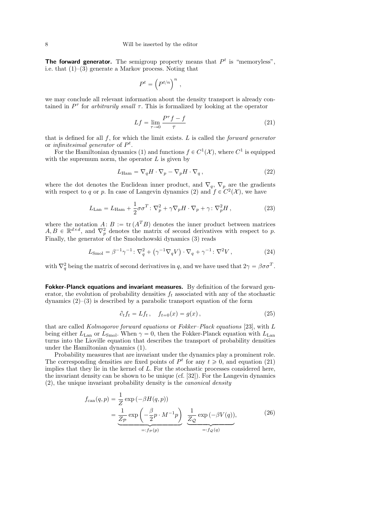The forward generator. The semigroup property means that  $P<sup>t</sup>$  is "memoryless", i.e. that  $(1)$ – $(3)$  generate a Markov process. Noting that

$$
P^t = \left(P^{t/n}\right)^n,
$$

we may conclude all relevant information about the density transport is already contained in  $P^{\tau}$  for arbitrarily small  $\tau$ . This is formalized by looking at the operator

$$
Lf = \lim_{\tau \to 0} \frac{P^{\tau}f - f}{\tau} \tag{21}
$$

that is defined for all  $f$ , for which the limit exists.  $L$  is called the *forward generator* or *infinitesimal generator* of  $P^t$ .

For the Hamiltonian dynamics (1) and functions  $f \in C^1(\mathcal{X})$ , where  $C^1$  is equipped with the supremum norm, the operator  $L$  is given by

$$
L_{\text{Ham}} = \nabla_q H \cdot \nabla_p - \nabla_p H \cdot \nabla_q \,,\tag{22}
$$

where the dot denotes the Euclidean inner product, and  $\nabla_q$ ,  $\nabla_p$  are the gradients with respect to q or p. In case of Langevin dynamics (2) and  $f \in C^2(\mathcal{X})$ , we have

$$
L_{\text{Lan}} = L_{\text{Ham}} + \frac{1}{2}\sigma\sigma^T \colon \nabla_p^2 + \gamma \nabla_p H \cdot \nabla_p + \gamma \colon \nabla_p^2 H \,, \tag{23}
$$

where the notation  $A: B := \text{tr}(A^T B)$  denotes the inner product between matrices  $A, B \in \mathbb{R}^{d \times d}$ , and  $\nabla_p^2$  denotes the matrix of second derivatives with respect to p. Finally, the generator of the Smoluchowski dynamics (3) reads

$$
L_{\text{Smol}} = \beta^{-1} \gamma^{-1} \colon \nabla_q^2 + \left( \gamma^{-1} \nabla_q V \right) \cdot \nabla_q + \gamma^{-1} \colon \nabla^2 V \,, \tag{24}
$$

with  $\nabla_q^2$  being the matrix of second derivatives in q, and we have used that  $2\gamma = \beta \sigma \sigma^T$ .

Fokker-Planck equations and invariant measures. By definition of the forward generator, the evolution of probability densities  $f_t$  associated with any of the stochastic dynamics  $(2)$ – $(3)$  is described by a parabolic transport equation of the form

$$
\partial_t f_t = Lf_t, \quad f_{t=0}(x) = g(x), \tag{25}
$$

that are called Kolmogorov forward equations or Fokker–Plack equations [23], with L being either  $L_{\text{Lan}}$  or  $L_{\text{Smol}}$ . When  $\gamma = 0$ , then the Fokker-Planck equation with  $L_{\text{Lan}}$ turns into the Lioville equation that describes the transport of probability densities under the Hamiltonian dynamics (1).

Probability measures that are invariant under the dynamics play a prominent role. The corresponding densities are fixed points of  $P^t$  for any  $t \geq 0$ , and equation (21) implies that they lie in the kernel of  $L$ . For the stochastic processes considered here, the invariant density can be shown to be unique (cf. [32]). For the Langevin dynamics (2), the unique invariant probability density is the canonical density

$$
f_{\text{can}}(q, p) = \frac{1}{Z} \exp(-\beta H(q, p))
$$
  
= 
$$
\underbrace{\frac{1}{Z_{\mathcal{P}}}\exp\left(-\frac{\beta}{2}p \cdot M^{-1}p\right)}_{=: f_{\mathcal{P}}(p)} \underbrace{\frac{1}{Z_{\mathcal{Q}}}\exp(-\beta V(q))}_{=: f_{\mathcal{Q}}(q)},
$$
(26)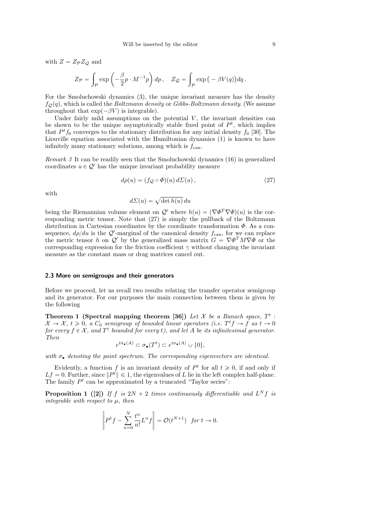with  $Z = Z_{\mathcal{P}} Z_{\mathcal{Q}}$  and

$$
Z_{\mathcal{P}} = \int_{\mathcal{P}} \exp\left(-\frac{\beta}{2}p \cdot M^{-1}p\right) dp, \quad Z_{\mathcal{Q}} = \int_{\mathcal{P}} \exp\left(-\beta V(q)\right) dq.
$$

For the Smoluchowski dynamics (3), the unique invariant measure has the density  $f_{\mathcal{Q}}(q)$ , which is called the *Boltzmann density* or *Gibbs-Boltzmann density*. (We assume throughout that  $\exp(-\beta V)$  is integrable).

Under fairly mild assumptions on the potential  $V$ , the invariant densities can be shown to be the unique asymptotically stable fixed point of  $P^t$ , which implies that  $P<sup>t</sup>f<sub>0</sub>$  converges to the stationary distribution for any initial density  $f<sub>0</sub>$  [30]. The Liouville equation associated with the Hamiltonian dynamics (1) is known to have infinitely many stationary solutions, among which is  $f_{\text{can}}$ .

Remark 3 It can be readily seen that the Smoluchowski dynamics (16) in generalized coordinates  $u \in \mathcal{Q}'$  has the unique invariant probability measure

$$
d\rho(u) = (f_{\mathcal{Q}} \circ \Phi)(u) d\Sigma(u), \qquad (27)
$$

with

$$
d\Sigma(u) = \sqrt{\det h(u)} \, du
$$

being the Riemannian volume element on  $\mathcal{Q}'$  where  $h(u) = (\nabla \Phi^T \nabla \Phi)(u)$  is the corresponding metric tensor. Note that (27) is simply the pullback of the Boltzmann distribution in Cartesian coordinates by the coordinate transformation  $\Phi$ . As a consequence,  $d\rho/du$  is the  $\mathcal{Q}'$ -marginal of the canonical density  $f_{\text{can}}$ , for we can replace the metric tensor h on  $Q'$  by the generalized mass matrix  $G = \nabla \Phi^T M \nabla \Phi$  or the corresponding expression for the friction coefficient  $\gamma$  without changing the invariant measure as the constant mass or drag matrices cancel out.

#### 2.3 More on semigroups and their generators

Before we proceed, let us recall two results relating the transfer operator semigroup and its generator. For our purposes the main connection between them is given by the following

Theorem 1 (Spectral mapping theorem [36]) Let X be a Banach space,  $T^t$ :  $\mathcal{X} \to \mathcal{X}, t \geq 0, a C_0$  semigroup of bounded linear operators (i.e.  $T^t f \to f$  as  $t \to 0$ for every  $f \in \mathcal{X}$ , and  $T^t$  bounded for every t), and let A be its infinitesimal generator. Then

$$
e^{t\sigma_{\bullet}(A)} \subset \sigma_{\bullet}(T^t) \subset e^{t\sigma_{\bullet}(A)} \cup \{0\},\,
$$

with  $\sigma_{\bullet}$  denoting the point spectrum. The corresponding eigenvectors are identical.

Evidently, a function f is an invariant density of  $P<sup>t</sup>$  for all  $t \ge 0$ , if and only if  $Lf = 0$ . Further, since  $||P^t|| \leq 1$ , the eigenvalues of L lie in the left complex half-plane. The family  $P<sup>t</sup>$  can be approximated by a truncated "Taylor series":

**Proposition 1** ([2]) If f is  $2N + 2$  times continuously differentiable and  $L^N f$  is integrable with respect to  $\mu$ , then

$$
\left\| P^t f - \sum_{n=0}^N \frac{t^n}{n!} L^n f \right\| = \mathcal{O}(t^{N+1}) \text{ for } t \to 0.
$$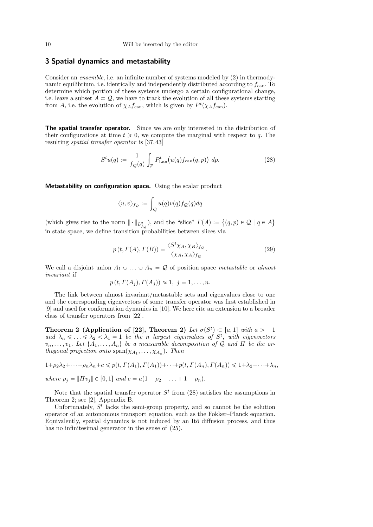## 3 Spatial dynamics and metastability

Consider an ensemble, i.e. an infinite number of systems modeled by (2) in thermodynamic equilibrium, i.e. identically and independently distributed according to  $f_{\text{can}}$ . To determine which portion of these systems undergo a certain configurational change, i.e. leave a subset  $A \subset \mathcal{Q}$ , we have to track the evolution of all these systems starting from A, i.e. the evolution of  $\chi_A f_{\text{can}}$ , which is given by  $P^t(\chi_A f_{\text{can}})$ .

The spatial transfer operator. Since we are only interested in the distribution of their configurations at time  $t \geq 0$ , we compute the marginal with respect to q. The resulting spatial transfer operator is [37, 43]

$$
Stu(q) := \frac{1}{f_{\mathcal{Q}}(q)} \int_{\mathcal{P}} P_{\text{Lan}}^{t} (u(q) f_{\text{can}}(q, p)) \, dp. \tag{28}
$$

Metastability on configuration space. Using the scalar product

$$
\langle u, v \rangle_{f_{\mathcal{Q}}} := \int_{\mathcal{Q}} u(q) v(q) f_{\mathcal{Q}}(q) dq
$$

(which gives rise to the norm  $\|\cdot\|_{L^2_{f_{\mathcal{Q}}}}$ ), and the "slice"  $\Gamma(A) :=$  $(q, p) \in \mathcal{Q} \mid q \in A$ in state space, we define transition probabilities between slices via

$$
p(t, \Gamma(A), \Gamma(B)) = \frac{\langle S^t \chi_A, \chi_B \rangle_{f_{\mathcal{Q}}}}{\langle \chi_A, \chi_A \rangle_{f_{\mathcal{Q}}}}.
$$
\n(29)

We call a disjoint union  $A_1 \cup \ldots \cup A_n = Q$  of position space metastable or almost invariant if

$$
p(t, \Gamma(A_j), \Gamma(A_j)) \approx 1, \ j = 1, \ldots, n.
$$

The link between almost invariant/metastable sets and eigenvalues close to one and the corresponding eigenvectors of some transfer operator was first established in [9] and used for conformation dynamics in [10]. We here cite an extension to a broader class of transfer operators from [22].

Theorem 2 (Application of [22], Theorem 2) Let  $\sigma(S^t) \subset [a,1]$  with  $a > -1$ and  $\lambda_n \leq \ldots \leq \lambda_2 < \lambda_1 = 1$  be the n largest eigenvalues of  $S^t$ , with eigenvectors  $v_n, \ldots, v_1$ . Let  $\{A_1, \ldots, A_n\}$  be a measurable decomposition of Q and  $\Pi$  be the or*thogonal projection onto*  $span(\chi_{A_1}, \ldots, \chi_{A_n})$ *. Then* 

$$
1+\rho_2\lambda_2+\cdots+\rho_n\lambda_n+c\leqslant p(t,\Gamma(A_1),\Gamma(A_1))+\cdots+p(t,\Gamma(A_n),\Gamma(A_n))\leqslant 1+\lambda_2+\cdots+\lambda_n,
$$
  
where  $\rho_j = \| \Pi v_j \| \in [0,1]$  and  $c = a(1-\rho_2+\ldots+1-\rho_n)$ .

Note that the spatial transfer operator  $S<sup>t</sup>$  from (28) satisfies the assumptions in Theorem 2; see [2], Appendix B.

Unfortunately,  $S<sup>t</sup>$  lacks the semi-group property, and so cannot be the solution operator of an autonomous transport equation, such as the Fokker–Planck equation. Equivalently, spatial dynamics is not induced by an Itô diffusion process, and thus has no infinitesimal generator in the sense of (25).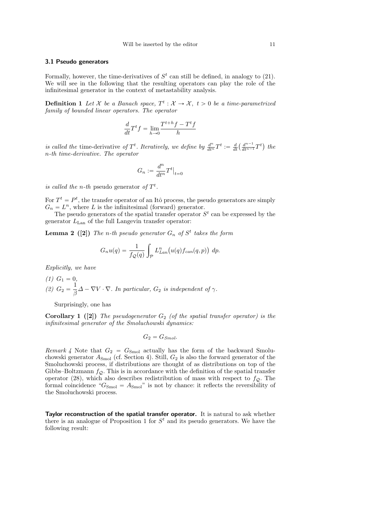#### 3.1 Pseudo generators

Formally, however, the time-derivatives of  $S<sup>t</sup>$  can still be defined, in analogy to (21). We will see in the following that the resulting operators can play the role of the infinitesimal generator in the context of metastability analysis.

**Definition 1** Let X be a Banach space,  $T^t : \mathcal{X} \to \mathcal{X}, t > 0$  be a time-parametrized family of bounded linear operators. The operator

$$
\frac{d}{dt}T^tf=\lim_{h\to 0}\frac{T^{t+h}f-T^tf}{h}
$$

is called the time-derivative of  $T^t$ . Iteratively, we define by  $\frac{d^n}{dt^n}T^t := \frac{d}{dt}(\frac{d^{n-1}}{dt^{n-1}}T^t)$ the n-th time-derivative. The operator

$$
G_n:=\frac{d^n}{dt^n}T^t\big|_{t=0}
$$

is called the n-th pseudo generator of  $T^t$ .

For  $T^t = P^t$ , the transfer operator of an Itô process, the pseudo generators are simply  $G_n = L^n$ , where L is the infinitesimal (forward) generator.

The pseudo generators of the spatial transfer operator  $S<sup>t</sup>$  can be expressed by the generator  $L_{\text{Lan}}$  of the full Langevin transfer operator:

**Lemma 2** ([2]) The n-th pseudo generator  $G_n$  of  $S^t$  takes the form

$$
G_n u(q) = \frac{1}{f_Q(q)} \int_{\mathcal{P}} L_{Lan}^n(u(q) f_{can}(q, p)) dp.
$$

Explicitly, we have

(1)  $G_1 = 0$ , (2)  $G_2 = \frac{1}{a}$  $\frac{1}{\beta}\Delta - \nabla V \cdot \nabla$ . In particular,  $G_2$  is independent of  $\gamma$ .

Surprisingly, one has

**Corollary 1** ([2]) The pseudogenerator  $G_2$  (of the spatial transfer operator) is the infinitesimal generator of the Smoluchowski dynamics:

$$
G_2 = G_{Smol}.
$$

Remark 4 Note that  $G_2 = G_{\text{Smol}}$  actually has the form of the backward Smoluchowski generator  $A_{\text{Smol}}$  (cf. Section 4). Still,  $G_2$  is also the forward generator of the Smoluchowski process, if distributions are thought of as distributions on top of the Gibbs–Boltzmann  $f_{\mathcal{Q}}$ . This is in accordance with the definition of the spatial transfer operator (28), which also describes redistribution of mass with respect to  $f_{\mathcal{Q}}$ . The formal coincidence " $G_{\text{Smol}} = A_{\text{Smol}}$ " is not by chance: it reflects the reversibility of the Smoluchowski process.

Taylor reconstruction of the spatial transfer operator. It is natural to ask whether there is an analogue of Proposition 1 for  $S<sup>t</sup>$  and its pseudo generators. We have the following result: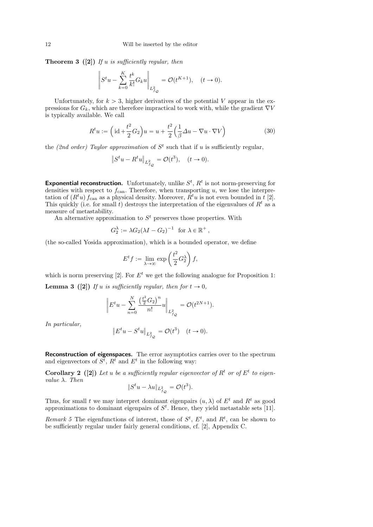**Theorem 3** ([2]) If u is sufficiently regular, then ›

$$
\left\|S^tu-\sum_{k=0}^K\frac{t^k}{k!}G_ku\right\|_{L_{f_\mathcal Q}^2}=\mathcal O(t^{K+1}),\quad (t\to 0).
$$

Unfortunately, for  $k > 3$ , higher derivatives of the potential V appear in the expressions for  $G_k$ , which are therefore impractical to work with, while the gradient  $\nabla V$ is typically available. We call

$$
R^t u := \left(\mathrm{id} + \frac{t^2}{2} G_2\right) u = u + \frac{t^2}{2} \left(\frac{1}{\beta} \Delta u - \nabla u \cdot \nabla V\right) \tag{30}
$$

the (2nd order) Taylor approximation of  $S<sup>t</sup>$  such that if u is sufficiently regular, ›

$$
||S^t u - R^t u||_{L^2_{f_Q}} = \mathcal{O}(t^3), \quad (t \to 0).
$$

**Exponential reconstruction.** Unfortunately, unlike  $S^t$ ,  $R^t$  is not norm-preserving for densities with respect to  $f_{\text{can}}$ . Therefore, when transporting u, we lose the interpretation of  $(R<sup>t</sup>u) f<sub>can</sub>$  as a physical density. Moreover,  $R<sup>t</sup>u$  is not even bounded in t [2]. This quickly (i.e. for small t) destroys the interpretation of the eigenvalues of  $R<sup>t</sup>$  as a measure of metastability.

An alternative approximation to  $S<sup>t</sup>$  preserves those properties. With

$$
G_2^{\lambda} := \lambda G_2 (\lambda I - G_2)^{-1} \text{ for } \lambda \in \mathbb{R}^+,
$$

(the so-called Yosida approximation), which is a bounded operator, we define

$$
E^t f := \lim_{\lambda \to \infty} \exp\left(\frac{t^2}{2} G_2^{\lambda}\right) f,
$$

which is norm preserving [2]. For  $E^t$  we get the following analogue for Proposition 1: **Lemma 3** ([2]) If u is sufficiently regular, then for  $t \to 0$ ,

$$
\left\| E^t u - \sum_{n=0}^N \frac{\left(\frac{t^2}{2} G_2\right)^n}{n!} u \right\|_{L_{f_{\mathcal{Q}}}^2} = \mathcal{O}(t^{2N+1}).
$$

In particular,

$$
\left\|E^t u - S^t u\right\|_{L^2_{f_{\mathcal{Q}}}} = \mathcal{O}(t^3) \quad (t \to 0).
$$

Reconstruction of eigenspaces. The error asymptotics carries over to the spectrum and eigenvectors of  $S^t$ ,  $R^t$  and  $E^t$  in the following way:

**Corollary 2** ([2]) Let u be a sufficiently regular eigenvector of  $R^t$  or of  $E^t$  to eigenvalue  $\lambda$ . Then

$$
\|S^t u - \lambda u\|_{L^2_{f_{\mathcal{Q}}}} = \mathcal{O}(t^3).
$$

Thus, for small t we may interpret dominant eigenpairs  $(u, \lambda)$  of  $E^t$  and  $R^t$  as good approximations to dominant eigenpairs of  $S<sup>t</sup>$ . Hence, they yield metastable sets [11].

Remark 5 The eigenfunctions of interest, those of  $S^t$ ,  $E^t$ , and  $R^t$ , can be shown to be sufficiently regular under fairly general conditions, cf. [2], Appendix C.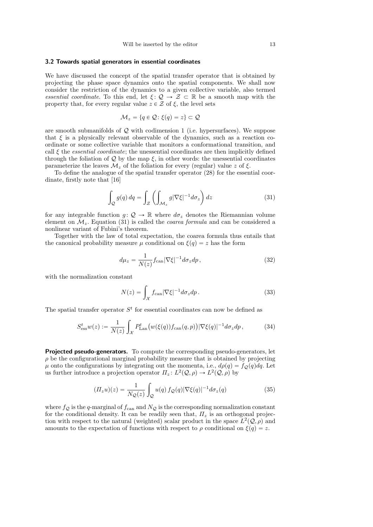#### 3.2 Towards spatial generators in essential coordinates

We have discussed the concept of the spatial transfer operator that is obtained by projecting the phase space dynamics onto the spatial components. We shall now consider the restriction of the dynamics to a given collective variable, also termed essential coordinate. To this end, let  $\xi: \mathcal{Q} \to \mathcal{Z} \subset \mathbb{R}$  be a smooth map with the property that, for every regular value  $z \in \mathcal{Z}$  of  $\xi$ , the level sets

$$
\mathcal{M}_z = \{q \in \mathcal{Q} \colon \xi(q) = z\} \subset \mathcal{Q}
$$

are smooth submanifolds of  $Q$  with codimension 1 (i.e. hypersurfaces). We suppose that  $\xi$  is a physically relevant observable of the dynamics, such as a reaction coordinate or some collective variable that monitors a conformational transition, and call  $\xi$  the *essential coordinate*; the unessential coordinates are then implicitly defined through the foliation of  $Q$  by the map  $\xi$ , in other words: the unessential coordinates parameterize the leaves  $\mathcal{M}_z$  of the foliation for every (regular) value z of  $\xi$ .

To define the analogue of the spatial transfer operator (28) for the essential coordinate, firstly note that [16]

$$
\int_{Q} g(q) dq = \int_{Z} \left( \int_{\mathcal{M}_z} g |\nabla \xi|^{-1} d\sigma_z \right) dz \tag{31}
$$

for any integrable function  $g: \mathcal{Q} \to \mathbb{R}$  where  $d\sigma_z$  denotes the Riemannian volume element on  $\mathcal{M}_z$ . Equation (31) is called the *coarea formula* and can be considered a nonlinear variant of Fubini's theorem.

Together with the law of total expectation, the coarea formula thus entails that the canonical probability measure  $\mu$  conditional on  $\xi(q) = z$  has the form

$$
d\mu_z = \frac{1}{N(z)} f_{\text{can}} |\nabla \xi|^{-1} d\sigma_z dp \,, \tag{32}
$$

with the normalization constant

$$
N(z) = \int_{\mathcal{X}} f_{\text{can}} |\nabla \xi|^{-1} d\sigma_z dp.
$$
 (33)

The spatial transfer operator  $S<sup>t</sup>$  for essential coordinates can now be defined as

$$
S_{\text{ess}}^t w(z) := \frac{1}{N(z)} \int_{\mathcal{X}} P_{\text{Lan}}^t \big( w(\xi(q)) f_{\text{can}}(q, p) \big) |\nabla \xi(q)|^{-1} d\sigma_z dp \,, \tag{34}
$$

Projected pseudo-generators. To compute the corresponding pseudo-generators, let  $\rho$  be the configurational marginal probability measure that is obtained by projecting  $\mu$  onto the configurations by integrating out the momenta, i.e.,  $d\rho(q) = f_{\mathcal{Q}}(q)dq$ . Let us further introduce a projection operator  $\Pi_z: L^2(\mathcal{Q}, \rho) \to L^2(\mathcal{Q}, \rho)$  by

$$
(II_z u)(z) = \frac{1}{N_{\mathcal{Q}}(z)} \int_{\mathcal{Q}} u(q) f_{\mathcal{Q}}(q) |\nabla \xi(q)|^{-1} d\sigma_z(q)
$$
(35)

where  $f_{\mathcal{Q}}$  is the q-marginal of  $f_{\text{can}}$  and  $N_{\mathcal{Q}}$  is the corresponding normalization constant for the conditional density. It can be readily seen that,  $\Pi_z$  is an orthogonal projection with respect to the natural (weighted) scalar product in the space  $L^2(Q, \rho)$  and amounts to the expectation of functions with respect to  $\rho$  conditional on  $\xi(q) = z$ .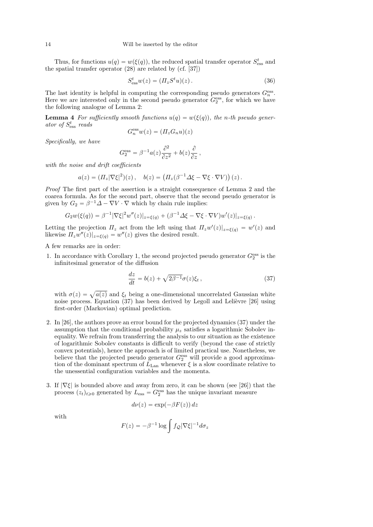Thus, for functions  $u(q) = w(\xi(q))$ , the reduced spatial transfer operator  $S_{\text{ess}}^t$  and the spatial transfer operator (28) are related by (cf. [37])

$$
S_{\text{ess}}^t w(z) = (H_z S^t u)(z). \tag{36}
$$

The last identity is helpful in computing the corresponding pseudo generators  $G_n^{\text{ess}}$ . Here we are interested only in the second pseudo generator  $G_2^{\text{ess}}$ , for which we have the following analogue of Lemma 2:

**Lemma 4** For sufficiently smooth functions  $u(q) = w(\xi(q))$ , the n-th pseudo generator of  $S_{\text{ess}}^t$  reads

$$
G_n^{\text{ess}}w(z) = (H_z G_n u)(z)
$$

Specifically, we have

$$
G_2^{\text{ess}} = \beta^{-1} a(z) \frac{\partial^2}{\partial z^2} + b(z) \frac{\partial}{\partial z},
$$

with the noise and drift coefficients

$$
a(z) = (II_z|\nabla \xi|^2)(z), \quad b(z) = (II_z(\beta^{-1}\Delta \xi - \nabla \xi \cdot \nabla V))(z).
$$

Proof The first part of the assertion is a straight consequence of Lemma 2 and the coarea formula. As for the second part, observe that the second pseudo generator is given by  $G_2 = \beta^{-1} \Delta - \nabla V \cdot \nabla$  which by chain rule implies:

$$
G_2 w(\xi(q)) = \beta^{-1} |\nabla \xi|^2 w''(z)|_{z=\xi(q)} + (\beta^{-1} \Delta \xi - \nabla \xi \cdot \nabla V) w'(z)|_{z=\xi(q)}.
$$

Letting the projection  $\Pi_z$  act from the left using that  $\Pi_z w'(z)|_{z=\xi(q)} = w'(z)$  and likewise  $\Pi_z w''(z)|_{z=\xi(q)} = w''(z)$  gives the desired result.

A few remarks are in order:

1. In accordance with Corollary 1, the second projected pseudo generator  $G_2^{\text{ess}}$  is the infinitesimal generator of the diffusion

$$
\frac{dz}{dt} = b(z) + \sqrt{2\beta^{-1}}\sigma(z)\xi_t,
$$
\n(37)

with  $\sigma(z) = \sqrt{a(z)}$  and  $\xi_t$  being a one-dimensional uncorrelated Gaussian white noise process. Equation  $(37)$  has been derived by Legoll and Lelièvre [26] using first-order (Markovian) optimal prediction.

- 2. In [26], the authors prove an error bound for the projected dynamics (37) under the assumption that the conditional probability  $\mu_z$  satisfies a logarithmic Sobolev inequality. We refrain from transferring the analysis to our situation as the existence of logarithmic Sobolev constants is difficult to verify (beyond the case of strictly convex potentials), hence the approach is of limited practical use. Nonetheless, we believe that the projected pseudo generator  $G_2^{\text{ess}}$  will provide a good approximation of the dominant spectrum of  $L_{\text{Lan}}$  whenever  $\xi$  is a slow coordinate relative to the unessential configuration variables and the momenta.
- 3. If  $|\nabla \xi|$  is bounded above and away from zero, it can be shown (see [26]) that the process  $(z_t)_{t\geq0}$  generated by  $L_{\text{ess}} = G_2^{\text{ess}}$  has the unique invariant measure

$$
d\nu(z) = \exp(-\beta F(z)) dz
$$

with

$$
F(z) = -\beta^{-1} \log \int f_{\mathcal{Q}} |\nabla \xi|^{-1} d\sigma_z
$$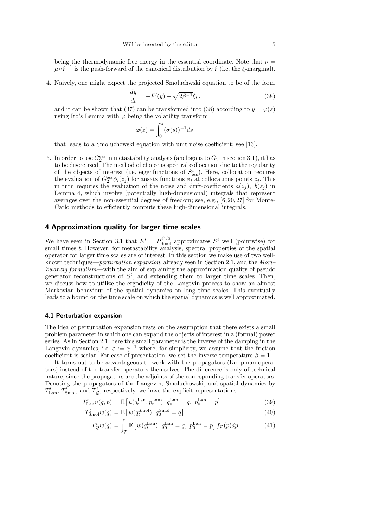being the thermodynamic free energy in the essential coordinate. Note that  $\nu =$  $\mu \circ \xi^{-1}$  is the push-forward of the canonical distribution by  $\xi$  (i.e. the  $\xi$ -marginal).

4. Naively, one might expect the projected Smoluchwski equation to be of the form

$$
\frac{dy}{dt} = -F'(y) + \sqrt{2\beta^{-1}}\xi_t,
$$
\n(38)

and it can be shown that (37) can be transformed into (38) according to  $y = \varphi(z)$ using Ito's Lemma with  $\varphi$  being the volatility transform

$$
\varphi(z) = \int_0^z (\sigma(s))^{-1} ds
$$

that leads to a Smoluchowski equation with unit noise coefficient; see [13].

5. In order to use  $G_2^{\text{ess}}$  in metastability analysis (analogous to  $G_2$  in section 3.1), it has to be discretized. The method of choice is spectral collocation due to the regularity of the objects of interest (i.e. eigenfunctions of  $S_{\text{ess}}^t$ ). Here, collocation requires the evaluation of  $G_2^{\text{ess}}\phi_i(z_j)$  for ansatz functions  $\phi_i$  at collocations points  $z_j$ . This in turn requires the evaluation of the noise and drift-coefficients  $a(z_j)$ ,  $b(z_j)$  in Lemma 4, which involve (potentially high-dimensional) integrals that represent averages over the non-essential degrees of freedom; see, e.g., [6, 20, 27] for Monte-Carlo methods to efficiently compute these high-dimensional integrals.

## 4 Approximation quality for larger time scales

We have seen in Section 3.1 that  $E^t = P_{\text{Smol}}^{t^2/2}$  approximates  $S^t$  well (pointwise) for small times t. However, for metastability analysis, spectral properties of the spatial operator for larger time scales are of interest. In this section we make use of two wellknown techniques—perturbation expansion, already seen in Section 2.1, and the Mori– Zwanzig formalism—with the aim of explaining the approximation quality of pseudo generator reconstructions of  $S<sup>t</sup>$ , and extending them to larger time scales. Then, we discuss how to utilize the ergodicity of the Langevin process to show an almost Markovian behaviour of the spatial dynamics on long time scales. This eventually leads to a bound on the time scale on which the spatial dynamics is well approximated.

#### 4.1 Perturbation expansion

The idea of perturbation expansion rests on the assumption that there exists a small problem parameter in which one can expand the objects of interest in a (formal) power series. As in Section 2.1, here this small parameter is the inverse of the damping in the Langevin dynamics, i.e.  $\varepsilon := \gamma^{-1}$  where, for simplicity, we assume that the friction coefficient is scalar. For ease of presentation, we set the inverse temperature  $\beta = 1$ .

It turns out to be advantageous to work with the propagators (Koopman operators) instead of the transfer operators themselves. The difference is only of technical nature, since the propagators are the adjoints of the corresponding transfer operators. Denoting the propagators of the Langevin, Smoluchowski, and spatial dynamics by  $T_{\text{Lan}}^t$ ,  $T_{\text{Smol}}^t$ , and  $T_{\mathcal{Q}}^t$ , respectively, we have the explicit representations

$$
T_{\text{Lan}}^{t} u(q, p) = \mathbb{E}\left[u(q_t^{\text{Lan}}, p_t^{\text{Lan}}) \mid q_0^{\text{Lan}} = q, \ p_0^{\text{Lan}} = p\right]
$$
 (39)

$$
T_{\text{Smol}}^{t}w(q) = \mathbb{E}\left[w(q_t^{\text{Smol}}) \, \middle| \, q_0^{\text{Smol}} = q\right] \tag{40}
$$

$$
T_{\mathcal{Q}}^{t}w(q) = \int_{\mathcal{P}} \mathbb{E}\left[w(q_t^{\text{Lan}}) \middle| q_0^{\text{Lan}} = q, \ p_0^{\text{Lan}} = p\right] f_{\mathcal{P}}(p) dp \tag{41}
$$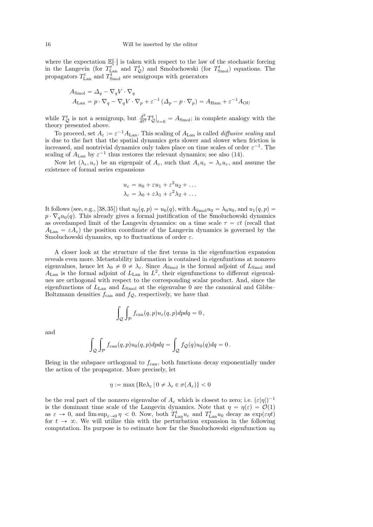where the expectation  $\mathbb{E}[\cdot]$  is taken with respect to the law of the stochastic forcing in the Langevin (for  $T_{\text{Lan}}^t$  and  $T_Q^t$ ) and Smoluchowski (for  $T_{\text{Smol}}^t$ ) equations. The propagators  $T_{\text{Lan}}^t$  and  $T_{\text{Smol}}^t$  are semigroups with generators

$$
A_{\text{Smol}} = \Delta_q - \nabla_q V \cdot \nabla_q
$$
  
\n
$$
A_{\text{Lan}} = p \cdot \nabla_q - \nabla_q V \cdot \nabla_p + \varepsilon^{-1} (\Delta_p - p \cdot \nabla_p) = A_{\text{Ham}} + \varepsilon^{-1} A_{\text{OU}}
$$

while  $T_Q^t$  is not a semigroup, but  $\frac{d^2}{dt^2}T_Q^t$ ˇ ˇ  $t_{t=0} = A_{\text{Smol}}$ ; in complete analogy with the theory presented above.

To proceed, set  $A_{\varepsilon} := \varepsilon^{-1} A_{\text{Lan}}$ . This scaling of  $A_{\text{Lan}}$  is called *diffusive scaling* and is due to the fact that the spatial dynamics gets slower and slower when friction is increased, and nontrivial dynamics only takes place on time scales of order  $\varepsilon^{-1}$ . The scaling of  $A_{\text{Lan}}$  by  $\varepsilon^{-1}$  thus restores the relevant dynamics; see also (14).

Now let  $(\lambda_{\varepsilon}, u_{\varepsilon})$  be an eigenpair of  $A_{\varepsilon}$ , such that  $A_{\varepsilon}u_{\varepsilon} = \lambda_{\varepsilon}u_{\varepsilon}$ , and assume the existence of formal series expansions

$$
u_{\varepsilon} = u_0 + \varepsilon u_1 + \varepsilon^2 u_2 + \dots
$$
  

$$
\lambda_{\varepsilon} = \lambda_0 + \varepsilon \lambda_1 + \varepsilon^2 \lambda_2 + \dots
$$

It follows (see, e.g., [38, 35]) that  $u_0(q, p) = u_0(q)$ , with  $A_{\text{Smol}}u_0 = \lambda_0u_0$ , and  $u_1(q, p) =$  $p \cdot \nabla_q u_0(q)$ . This already gives a formal justification of the Smoluchowski dynamics as overdamped limit of the Langevin dynamics: on a time scale  $\tau = \varepsilon t$  (recall that  $A_{\text{Lan}} = \varepsilon A_{\varepsilon}$ ) the position coordinate of the Langevin dynamics is governed by the Smoluchowski dynamics, up to fluctuations of order  $\varepsilon$ .

A closer look at the structure of the first terms in the eigenfunction expansion reveals even more. Metastability information is contained in eigenfuntions at nonzero eigenvalues, hence let  $\lambda_0 \neq 0 \neq \lambda_{\varepsilon}$ . Since  $A_{\text{Smol}}$  is the formal adjoint of  $L_{\text{Smol}}$  and  $A_{\text{Lan}}$  is the formal adjoint of  $L_{\text{Lan}}$  in  $L^2$ , their eigenfunctions to different eigenvalues are orthogonal with respect to the corresponding scalar product. And, since the eigenfunctions of  $L_{\text{Lan}}$  and  $L_{\text{Smol}}$  at the eigenvalue 0 are the canonical and Gibbs-Boltzmann densities  $f_{\text{can}}$  and  $f_{\mathcal{Q}}$ , respectively, we have that

$$
\int_{Q} \int_{\mathcal{P}} f_{\text{can}}(q, p) u_{\varepsilon}(q, p) dp dq = 0,
$$

and

$$
\int_{Q} \int_{\mathcal{P}} f_{\text{can}}(q, p) u_0(q, p) dp dq = \int_{Q} f_Q(q) u_0(q) dq = 0.
$$

Being in the subspace orthogonal to  $f_{\text{can}}$ , both functions decay exponentially under the action of the propagator. More precisely, let

$$
\eta := \max \left\{ \text{Re} \lambda_{\varepsilon} \, | \, 0 \neq \lambda_{\varepsilon} \in \sigma(A_{\varepsilon}) \right\} < 0
$$

be the real part of the nonzero eigenvalue of  $A_{\varepsilon}$  which is closest to zero; i.e.  $(\varepsilon|\eta|)^{-1}$ is the dominant time scale of the Langevin dynamics. Note that  $\eta = \eta(\varepsilon) = \mathcal{O}(1)$ as  $\varepsilon \to 0$ , and  $\limsup_{\varepsilon \to 0} \eta < 0$ . Now, both  $T_{\text{Lan}}^t u_{\varepsilon}$  and  $T_{\text{Lan}}^t u_0$  decay as  $\exp(\varepsilon \eta t)$ for  $t \to \infty$ . We will utilize this with the perturbation expansion in the following computation. Its purpose is to estimate how far the Smoluchowski eigenfunction  $u_0$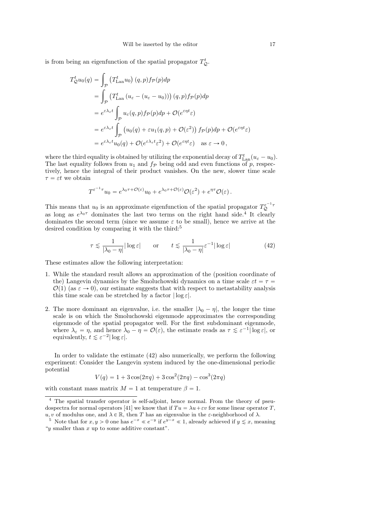is from being an eigenfunction of the spatial propagator  $T_{\mathcal{Q}}^t$ .

$$
T_{\mathcal{Q}}^{t}u_{0}(q) = \int_{\mathcal{P}} \left( T_{\text{Lan}}^{t} u_{0} \right) (q, p) f_{\mathcal{P}}(p) dp
$$
  
\n
$$
= \int_{\mathcal{P}} \left( T_{\text{Lan}}^{t} \left( u_{\varepsilon} - (u_{\varepsilon} - u_{0}) \right) \right) (q, p) f_{\mathcal{P}}(p) dp
$$
  
\n
$$
= e^{\varepsilon \lambda_{\varepsilon} t} \int_{\mathcal{P}} u_{\varepsilon}(q, p) f_{\mathcal{P}}(p) dp + \mathcal{O}(e^{\varepsilon \eta t} \varepsilon)
$$
  
\n
$$
= e^{\varepsilon \lambda_{\varepsilon} t} \int_{\mathcal{P}} \left( u_{0}(q) + \varepsilon u_{1}(q, p) + \mathcal{O}(\varepsilon^{2}) \right) f_{\mathcal{P}}(p) dp + \mathcal{O}(e^{\varepsilon \eta t} \varepsilon)
$$
  
\n
$$
= e^{\varepsilon \lambda_{\varepsilon} t} u_{0}(q) + \mathcal{O}(e^{\varepsilon \lambda_{\varepsilon} t} \varepsilon^{2}) + \mathcal{O}(e^{\varepsilon \eta t} \varepsilon) \quad \text{as } \varepsilon \to 0,
$$

where the third equality is obtained by utilizing the exponential decay of  $T_{\text{Lan}}^t(u_\varepsilon - u_0)$ . The last equality follows from  $u_1$  and  $f_p$  being odd and even functions of p, respectively, hence the integral of their product vanishes. On the new, slower time scale  $\tau = \varepsilon t$  we obtain

$$
T^{\varepsilon^{-1}\tau}u_0 = e^{\lambda_0 \tau + \mathcal{O}(\varepsilon)}u_0 + e^{\lambda_0 \tau + \mathcal{O}(\varepsilon)}\mathcal{O}(\varepsilon^2) + e^{\eta \tau}\mathcal{O}(\varepsilon).
$$

This means that  $u_0$  is an approximate eigenfunction of the spatial propagator  $T_{\mathcal{Q}}^{\varepsilon^{-1} \tau}$ as long as  $e^{\lambda_0 \tau}$  dominates the last two terms on the right hand side.<sup>4</sup> It clearly dominates the second term (since we assume  $\varepsilon$  to be small), hence we arrive at the desired condition by comparing it with the third:<sup>5</sup>

$$
\tau \lesssim \frac{1}{|\lambda_0 - \eta|} |\log \varepsilon| \qquad \text{or} \qquad t \lesssim \frac{1}{|\lambda_0 - \eta|} \varepsilon^{-1} |\log \varepsilon| \tag{42}
$$

These estimates allow the following interpretation:

- 1. While the standard result allows an approximation of the (position coordinate of the) Langevin dynamics by the Smoluchowski dynamics on a time scale  $\varepsilon t = \tau =$  $\mathcal{O}(1)$  (as  $\varepsilon \to 0$ ), our estimate suggests that with respect to metastability analysis this time scale can be stretched by a factor  $|\log \varepsilon|$ .
- 2. The more dominant an eigenvalue, i.e. the smaller  $|\lambda_0 \eta|$ , the longer the time scale is on which the Smoluchowski eigenmode approximates the corresponding eigenmode of the spatial propagator well. For the first subdominant eigenmode, where  $\lambda_{\varepsilon} = \eta$ , and hence  $\lambda_0 - \eta = \mathcal{O}(\varepsilon)$ , the estimate reads as  $\tau \leq \varepsilon^{-1} |\log \varepsilon|$ , or equivalently,  $t \lesssim \varepsilon^{-2} |\log \varepsilon|$ .

In order to validate the estimate (42) also numerically, we perform the following experiment: Consider the Langevin system induced by the one-dimensional periodic potential

$$
V(q) = 1 + 3\cos(2\pi q) + 3\cos^2(2\pi q) - \cos^3(2\pi q)
$$

with constant mass matrix  $M = 1$  at temperature  $\beta = 1$ .

<sup>4</sup> The spatial transfer operator is self-adjoint, hence normal. From the theory of pseudospectra for normal operators [41] we know that if  $Tu = \lambda u + \varepsilon v$  for some linear operator T, u, v of modulus one, and  $\lambda \in \mathbb{R}$ , then T has an eigenvalue in the  $\varepsilon$ -neighborhood of  $\lambda$ .

<sup>&</sup>lt;sup>5</sup> Note that for  $x, y > 0$  one has  $e^{-x} \ll e^{-y}$  if  $e^{y-x} \ll 1$ , already achieved if  $y \lesssim x$ , meaning "*y* smaller than  $x$  up to some additive constant".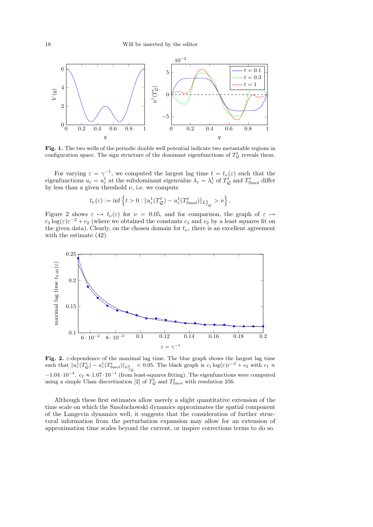

Fig. 1. The two wells of the periodic double well potential indicate two metastable regions in configuration space. The sign structure of the dominant eigenfunctions of  $T_{\mathcal{Q}}^{t}$  reveals them.

For varying  $\varepsilon = \gamma^{-1}$ , we computed the largest lag time  $t = t_{\nu}(\varepsilon)$  such that the eigenfunctions  $u_{\varepsilon} = u_{\varepsilon}^1$  at the subdominant eigenvalue  $\lambda_{\varepsilon} = \lambda_{\varepsilon}^1$  of  $T_{\mathcal{Q}}^t$  and  $T_{\rm Smol}^t$  differ by less than a given threshold  $\nu$ , i.e. we compute<br>  $t_{\nu}(\varepsilon) := \inf \left\{ t > 0 : \|u_{\varepsilon}^1(T_{\mathcal{Q}}^t) - u_{\varepsilon}^1(T_{\mathcal{Q}}^t) \right\}$ 

$$
t_{\nu}(\varepsilon) := \inf \left\{ t > 0 : \|u_{\varepsilon}^1(T_{\mathcal{Q}}^t) - u_{\varepsilon}^1(T_{\text{Smol}}^t)\|_{L_{f_{\mathcal{Q}}}^2} > \nu \right\}.
$$

Figure 2 shows  $\varepsilon \mapsto t_{\nu}(\varepsilon)$  for  $\nu = 0.05$ , and for comparison, the graph of  $\varepsilon \mapsto$  $c_1 \log(\varepsilon) \varepsilon^{-2} + c_2$  (where we obtained the constants  $c_1$  and  $c_2$  by a least squares fit on the given data). Clearly, on the chosen domain for  $t_{\nu}$ , there is an excellent agreement with the estimate  $(42)$ .



Fig. 2.  $\varepsilon$ -dependence of the maximal lag time. The blue graph shows the largest lag time such that  $||u_{\varepsilon}^1(T_{\mathcal{Q}}^t) - u_{\varepsilon}^1(T_{\text{Smol}}^t)||_{L^2_{f_{\mathcal{Q}}}} < 0.05$ . The black graph is  $c_1 \log(\varepsilon) \varepsilon^{-2} + c_2$  with  $c_1 \approx$  $-1.04 \cdot 10^{-4}$ ,  $c_2 \approx 1.07 \cdot 10^{-1}$  (from least-squares fitting). The eigenfunctions were computed using a simple Ulam discretization [2] of  $T_{\mathcal{Q}}^t$  and  $T_{\text{Smol}}^t$  with resolution 256.

Although these first estimates allow merely a slight quantitative extension of the time scale on which the Smoluchowski dynamics approximates the spatial component of the Langevin dynamics well, it suggests that the consideration of further structural information from the perturbation expansion may allow for an extension of approximation time scales beyond the current, or inspire corrections terms to do so.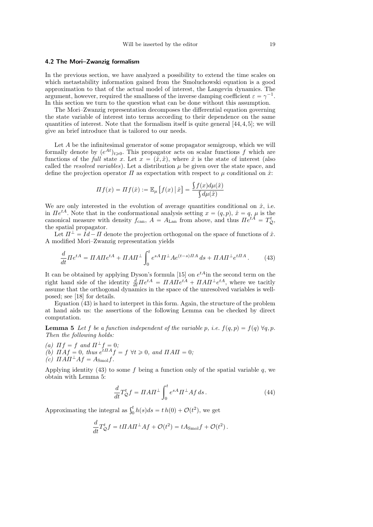#### 4.2 The Mori–Zwanzig formalism

In the previous section, we have analyzed a possibility to extend the time scales on which metastability information gained from the Smoluchowski equation is a good approximation to that of the actual model of interest, the Langevin dynamics. The argument, however, required the smallness of the inverse damping coefficient  $\varepsilon = \gamma^{-1}$ . In this section we turn to the question what can be done without this assumption.

The Mori–Zwanzig representation decomposes the differential equation governing the state variable of interest into terms according to their dependence on the same quantities of interest. Note that the formalism itself is quite general  $[44, 4, 5]$ ; we will give an brief introduce that is tailored to our needs.

Let  $A$  be the infinitesimal generator of some propagator semigroup, which we will formally denote by  $(e^{At})_{t\geqslant0}$ . This propagator acts on scalar functions f which are functions of the full state x. Let  $x = (\tilde{x}, \tilde{x})$ , where  $\hat{x}$  is the state of interest (also called the *resolved variables*). Let a distribution  $\mu$  be given over the state space, and define the projection operator  $\Pi$  as expectation with respect to  $\mu$  conditional on  $\hat{x}$ :

$$
\Pi f(x) = \Pi f(\hat{x}) := \mathbb{E}_{\mu} \left[ f(x) \, \middle| \, \hat{x} \right] = \frac{\int f(x) d\mu(\tilde{x})}{\int d\mu(\tilde{x})}
$$

We are only interested in the evolution of average quantities conditional on  $\hat{x}$ , i.e. in  $\Pi e^{tA}$ . Note that in the conformational analysis setting  $x = (q, p)$ ,  $\hat{x} = q$ ,  $\mu$  is the canonical measure with density  $f_{\text{can}}$ ,  $A = A_{\text{Lan}}$  from above, and thus  $\overline{He}^{tA} = T_Q^t$ , the spatial propagator.

Let  $\Pi^{\perp} = Id - \Pi$  denote the projection orthogonal on the space of functions of  $\hat{x}$ . A modified Mori–Zwanzig representation yields

$$
\frac{d}{dt}\Pi e^{tA} = \Pi A \Pi e^{tA} + \Pi A \Pi^{\perp} \int_0^t e^{sA} \Pi^{\perp} A e^{(t-s)\Pi A} ds + \Pi A \Pi^{\perp} e^{t\Pi A}. \tag{43}
$$

It can be obtained by applying Dyson's formula [15] on  $e^{tA}$  in the second term on the right hand side of the identity  $\frac{d}{dt} \Pi e^{tA} = \Pi A \Pi e^{tA} + \Pi A \Pi^{\perp} e^{tA}$ , where we tacitly assume that the orthogonal dynamics in the space of the unresolved variables is wellposed; see [18] for details.

Equation (43) is hard to interpret in this form. Again, the structure of the problem at hand aids us: the assertions of the following Lemma can be checked by direct computation.

**Lemma 5** Let f be a function independent of the variable p, i.e.  $f(q, p) = f(q) \forall q, p$ . Then the following holds:

(a)  $\Pi f = f$  and  $\Pi^{\perp} f = 0$ ; (b)  $\overline{H} \overline{A} f = 0$ , thus  $e^{t \overline{H} \overline{A}} f = f \ \forall t \geq 0$ , and  $\overline{H} \overline{A} \overline{H} = 0$ ; (c)  $\Pi A \Pi^{\perp} A f = A_{\text{Smol}} f.$ 

Applying identity (43) to some f being a function only of the spatial variable  $q$ , we obtain with Lemma 5:

$$
\frac{d}{dt}T_{\mathcal{Q}}^t f = \Pi A \Pi^{\perp} \int_0^t e^{sA} \Pi^{\perp} A f \, ds. \tag{44}
$$

Approximating the integral as  $\int_0^t h(s)ds = t h(0) + \mathcal{O}(t^2)$ , we get

$$
\frac{d}{dt}T_{\mathcal{Q}}^t f = t \Pi A \Pi^{\perp} A f + \mathcal{O}(t^2) = t A_{\text{Smol}} f + \mathcal{O}(t^2).
$$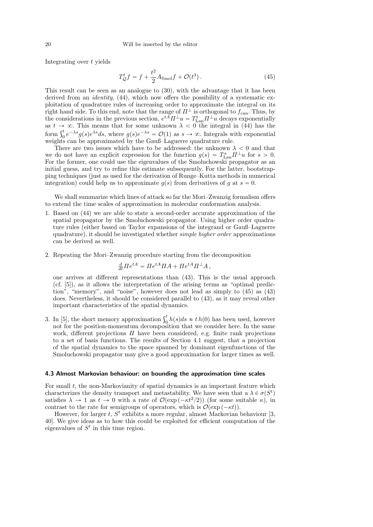Integrating over t yields

$$
T_{\mathcal{Q}}^t f = f + \frac{t^2}{2} A_{\text{Smol}} f + \mathcal{O}(t^3).
$$
 (45)

This result can be seen as an analogue to (30), with the advantage that it has been derived from an *identity*, (44), which now offers the possibility of a systematic exploitation of quadrature rules of increasing order to approximate the integral on its right hand side. To this end, note that the range of  $\Pi^{\perp}$  is orthogonal to  $f_{\mathrm{can}}$ . Thus, by the considerations in the previous section,  $e^{tA} \Pi^{\perp} u = T_{\text{Lan}}^t \Pi^{\perp} u$  decays exponentially as  $t \to \infty$ . This means that for some unknown  $\lambda < 0$  the integral in (44) has the as  $t \to \infty$ . This means that for some unknown  $\lambda < 0$  the integral in (44) has the form  $\int_0^t e^{-\lambda s} g(s) e^{\lambda s} ds$ , where  $g(s) e^{-\lambda s} = \mathcal{O}(1)$  as  $s \to \infty$ . Integrals with exponential weights can be approximated by the Gauß–Laguerre quadrature rule.

There are two issues which have to be addressed: the unknown  $\lambda < 0$  and that we do not have an explicit expression for the function  $g(s) = T_{\text{Lan}}^s H^{\perp} u$  for  $s > 0$ . For the former, one could use the eigenvalues of the Smoluchowski propagator as an initial guess, and try to refine this estimate subsequently. For the latter, bootstrapping techniques (just as used for the derivation of Runge–Kutta methods in numerical integration) could help us to approximate  $q(s)$  from derivatives of q at  $s = 0$ .

We shall summarize which lines of attack so far the Mori–Zwanzig formalism offers to extend the time scales of approximation in molecular conformation analysis.

- 1. Based on (44) we are able to state a second-order accurate approximation of the spatial propagator by the Smoluchowski propagator. Using higher order quadrature rules (either based on Taylor expansions of the integrand or Gauß–Laguerre quadrature), it should be investigated whether simple higher order approximations can be derived as well.
- 2. Repeating the Mori–Zwanzig procedure starting from the decomposition

$$
\frac{d}{dt} \Pi e^{tA} = \Pi e^{tA} \Pi A + \Pi e^{tA} \Pi^{\perp} A,
$$

one arrives at different representations than (43). This is the usual approach (cf. [5]), as it allows the interpretation of the arising terms as "optimal prediction", "memory", and "noise", however does not lead as simply to (45) as (43) does. Nevertheless, it should be considered parallel to (43), as it may reveal other important characteristics of the spatial dynamics.

3. In [5], the short memory approximation  $\int_0^t h(s)ds \approx t h(0)$  has been used, however not for the position-momentum decomposition that we consider here. In the same work, different projections  $\Pi$  have been considered, e.g. finite rank projections to a set of basis functions. The results of Section 4.1 suggest, that a projection of the spatial dynamics to the space spanned by dominant eigenfunctions of the Smoluchowski propagator may give a good approximation for larger times as well.

#### 4.3 Almost Markovian behaviour: on bounding the approximation time scales

For small t, the non-Markovianity of spatial dynamics is an important feature which characterizes the density transport and metastability. We have seen that a  $\lambda \in \sigma(S^t)$ satisfies  $\lambda \to 1$  as  $t \to 0$  with a rate of  $\mathcal{O}(\exp(-\kappa t^2/2))$  (for some suitable  $\kappa$ ), in contrast to the rate for semigroups of operators, which is  $\mathcal{O}(\exp(-\kappa t)).$ 

However, for larger t,  $S<sup>t</sup>$  exhibits a more regular, almost Markovian behaviour [3, 40]. We give ideas as to how this could be exploited for efficient computation of the eigenvalues of  $S<sup>t</sup>$  in this time region.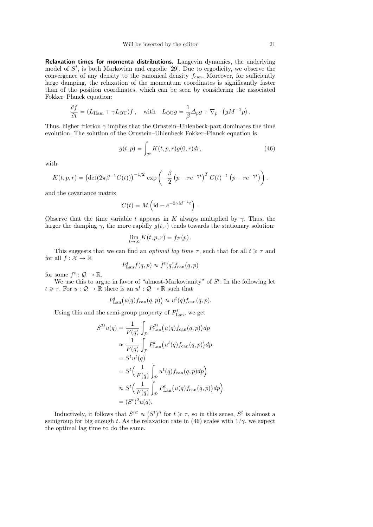Relaxation times for momenta distributions. Langevin dynamics, the underlying model of  $S<sup>t</sup>$ , is both Markovian and ergodic [29]. Due to ergodicity, we observe the convergence of any density to the canonical density  $f_{\text{can}}$ . Moreover, for sufficiently large damping, the relaxation of the momentum coordinates is significantly faster than of the position coordinates, which can be seen by considering the associated Fokker–Planck equation:

$$
\frac{\partial f}{\partial t} = (L_{\text{Ham}} + \gamma L_{\text{OU}})f, \quad \text{with} \quad L_{\text{OU}}g = \frac{1}{\beta} \Delta_p g + \nabla_p \cdot (gM^{-1}p) \,.
$$

Thus, higher friction  $\gamma$  implies that the Ornstein–Uhlenbeck-part dominates the time evolution. The solution of the Ornstein–Uhlenbeck Fokker–Planck equation is

$$
g(t,p) = \int_{\mathcal{P}} K(t,p,r)g(0,r)dr,
$$
\n(46)

with

$$
K(t, p, r) = (\det(2\pi \beta^{-1} C(t)))^{-1/2} \exp\left(-\frac{\beta}{2} (p - re^{-\gamma t})^T C(t)^{-1} (p - re^{-\gamma t})\right).
$$

and the covariance matrix

$$
C(t) = M\left(\mathrm{id} - e^{-2\gamma M^{-1}t}\right).
$$

Observe that the time variable t appears in K always multiplied by  $\gamma$ . Thus, the larger the damping  $\gamma$ , the more rapidly  $g(t, \cdot)$  tends towards the stationary solution:

$$
\lim_{t\to\infty} K(t,p,r) = f_{\mathcal{P}}(p).
$$

This suggests that we can find an *optimal lag time*  $\tau$ , such that for all  $t \geq \tau$  and for all  $f: \mathcal{X} \to \mathbb{R}$ 

$$
P_{\text{Lan}}^t f(q, p) \approx f^t(q) f_{\text{can}}(q, p)
$$

for some  $f^t: \mathcal{Q} \to \mathbb{R}$ .

We use this to argue in favor of "almost-Markovianity" of  $S<sup>t</sup>$ : In the following let  $t \geq \tau$ . For  $u: \mathcal{Q} \to \mathbb{R}$  there is an  $u^t: \mathcal{Q} \to \mathbb{R}$  such that

$$
P_{\text{Lan}}^t(u(q)f_{\text{can}}(q,p)) \approx u^t(q)f_{\text{can}}(q,p).
$$

Using this and the semi-group property of  $P_{\text{Lan}}^t$ , we get

$$
S^{2t}u(q) = \frac{1}{F(q)} \int_{\mathcal{P}} P_{\text{Lan}}^{2t} (u(q) f_{\text{can}}(q, p)) dp
$$
  
\n
$$
\approx \frac{1}{F(q)} \int_{\mathcal{P}} P_{\text{Lan}}^{t} (u^{t}(q) f_{\text{can}}(q, p)) dp
$$
  
\n
$$
= S^{t}u^{t}(q)
$$
  
\n
$$
= S^{t} \left( \frac{1}{F(q)} \int_{\mathcal{P}} u^{t}(q) f_{\text{can}}(q, p) dp \right)
$$
  
\n
$$
\approx S^{t} \left( \frac{1}{F(q)} \int_{\mathcal{P}} P_{\text{Lan}}^{t} (u(q) f_{\text{can}}(q, p)) dp \right)
$$
  
\n
$$
= (S^{t})^{2} u(q).
$$

Inductively, it follows that  $S^{nt} \approx (S^t)^n$  for  $t \geq \tau$ , so in this sense,  $S^t$  is almost a semigroup for big enough t. As the relaxation rate in (46) scales with  $1/\gamma$ , we expect the optimal lag time to do the same.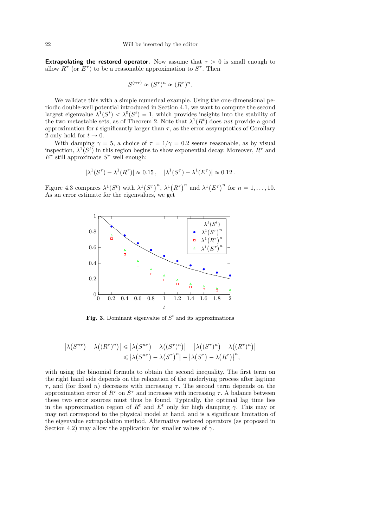**Extrapolating the restored operator.** Now assume that  $\tau > 0$  is small enough to allow  $R^{\tau}$  (or  $E^{\tau}$ ) to be a reasonable approximation to  $S^{\tau}$ . Then

$$
S^{(n\tau)} \approx (S^{\tau})^n \approx (R^{\tau})^n.
$$

We validate this with a simple numerical example. Using the one-dimensional periodic double-well potential introduced in Section 4.1, we want to compute the second largest eigenvalue  $\lambda^1(S^t) < \lambda^0(S^t) = 1$ , which provides insights into the stability of the two metastable sets, as of Theorem 2. Note that  $\lambda^1(R^t)$  does not provide a good approximation for t significantly larger than  $\tau$ , as the error assymptotics of Corollary 2 only hold for  $t \to 0$ .

With damping  $\gamma = 5$ , a choice of  $\tau = 1/\gamma = 0.2$  seems reasonable, as by visual inspection,  $\lambda^1(S^t)$  in this region begins to show exponential decay. Moreover,  $R^{\tau}$  and  $E^{\tau}$  still approximate  $S^{\tau}$  well enough:

$$
|\lambda^1(S^{\tau}) - \lambda^1(R^{\tau})| \approx 0.15
$$
,  $|\lambda^1(S^{\tau}) - \lambda^1(E^{\tau})| \approx 0.12$ .

Figure 4.3 compares  $\lambda^1(S^t)$  with  $\lambda^1$ (  $S^{\tau}$ <sup>n</sup>,  $\lambda^{1}$ (  $(R^{\tau})^n$  and  $\lambda^1$  (  $(E^{\tau})^n$  for  $n = 1, ..., 10$ . As an error estimate for the eigenvalues, we get



Fig. 3. Dominant eigenvalue of  $S<sup>t</sup>$  and its approximations

$$
\left|\lambda(S^{n\tau})-\lambda\big((R^{\tau})^n\big)\right|\leq \left|\lambda(S^{n\tau})-\lambda\big((S^{\tau})^n\big)\right|+\left|\lambda\big((S^{\tau})^n\big)-\lambda\big((R^{\tau})^n\big)\right|
$$
  

$$
\leq \left|\lambda(S^{n\tau})-\lambda(S^{\tau})^n\right|+\left|\lambda(S^{\tau})-\lambda(R^{\tau})\right|^n,
$$

with using the binomial formula to obtain the second inequality. The first term on the right hand side depends on the relaxation of the underlying process after lagtime  $\tau$ , and (for fixed n) decreases with increasing  $\tau$ . The second term depends on the approximation error of  $R^{\tau}$  on  $S^{\tau}$  and increases with increasing  $\tau$ . A balance between these two error sources must thus be found. Typically, the optimal lag time lies in the approximation region of  $R<sup>t</sup>$  and  $E<sup>t</sup>$  only for high damping  $\gamma$ . This may or may not correspond to the physical model at hand, and is a significant limitation of the eigenvalue extrapolation method. Alternative restored operators (as proposed in Section 4.2) may allow the application for smaller values of  $\gamma$ .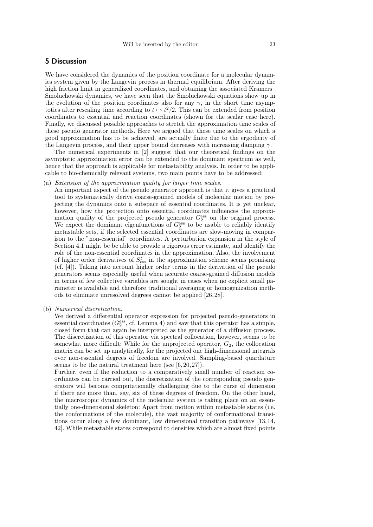## 5 Discussion

We have considered the dynamics of the position coordinate for a molecular dynamics system given by the Langevin process in thermal equilibrium. After deriving the high friction limit in generalized coordinates, and obtaining the associated Kramers– Smoluchowski dynamics, we have seen that the Smoluchowski equations show up in the evolution of the position coordinates also for any  $\gamma$ , in the short time asymptotics after rescaling time according to  $t \mapsto t^2/2$ . This can be extended from position coordinates to essential and reaction coordinates (shown for the scalar case here). Finally, we discussed possible approaches to stretch the approximation time scales of these pseudo generator methods. Here we argued that these time scales on which a good approximation has to be achieved, are actually finite due to the ergodicity of the Langevin process, and their upper bound decreases with increasing damping  $\gamma$ .

The numerical experiments in [2] suggest that our theoretical findings on the asymptotic approximation error can be extended to the dominant spectrum as well, hence that the approach is applicable for metastability analysis. In order to be applicable to bio-chemically relevant systems, two main points have to be addressed:

(a) Extension of the approximation quality for larger time scales.

An important aspect of the pseudo generator approach is that it gives a practical tool to systematically derive coarse-grained models of molecular motion by projecting the dynamics onto a subspace of essential coordinates. It is yet unclear, however, how the projection onto essential coordinates influences the approximation quality of the projected pseudo generator  $G_2^{\text{ess}}$  on the original process. We expect the dominant eigenfunctions of  $G_2^{\text{ess}}$  to be usable to reliably identify metastable sets, if the selected essential coordinates are slow-moving in comparison to the "non-essential" coordinates. A perturbation expansion in the style of Section 4.1 might be be able to provide a rigorous error estimate, and identify the role of the non-essential coordinates in the approximation. Also, the involvement of higher order derivatives of  $S_{\text{ess}}^t$  in the approximation scheme seems promising (cf. [4]). Taking into account higher order terms in the derivation of the pseudo generators seems especially useful when accurate coarse-grained diffusion models in terms of few collective variables are sought in cases when no explicit small parameter is available and therefore traditional averaging or homogenization methods to eliminate unresolved degrees cannot be applied [26, 28].

(b) Numerical discretization.

We derived a differential operator expression for projected pseudo-generators in essential coordinates  $(G_2^{\text{ess}}, \text{cf. Lemma 4})$  and saw that this operator has a simple, closed form that can again be interpreted as the generator of a diffusion process. The discretization of this operator via spectral collocation, however, seems to be somewhat more difficult: While for the unprojected operator,  $G_2$ , the collocation matrix can be set up analytically, for the projected one high-dimensional integrals over non-essential degrees of freedom are involved. Sampling-based quardature seems to be the natural treatment here (see  $[6, 20, 27]$ ).

Further, even if the reduction to a comparatively small number of reaction coordinates can be carried out, the discretization of the corresponding pseudo generators will become computationally challenging due to the curse of dimension if there are more than, say, six of these degrees of freedom. On the other hand, the macroscopic dynamics of the molecular system is taking place on an essentially one-dimensional skeleton: Apart from motion within metastable states (i.e. the conformations of the molecule), the vast majority of conformational transitions occur along a few dominant, low dimensional transition pathways [13, 14, 42]. While metastable states correspond to densities which are almost fixed points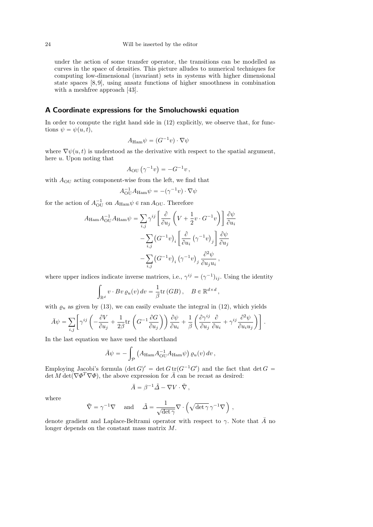under the action of some transfer operator, the transitions can be modelled as curves in the space of densities. This picture alludes to numerical techniques for computing low-dimensional (invariant) sets in systems with higher dimensional state spaces  $[8, 9]$ , using ansatz functions of higher smoothness in combination with a meshfree approach [43].

## A Coordinate expressions for the Smoluchowski equation

In order to compute the right hand side in  $(12)$  explicitly, we observe that, for functions  $\psi = \psi(u, t),$ 

$$
A_{\text{Ham}}\psi = (G^{-1}v) \cdot \nabla \psi
$$

where  $\nabla \psi(u, t)$  is understood as the derivative with respect to the spatial argument, here  $u$ . Upon noting that

$$
A_{\rm OU}(\gamma^{-1}v) = -G^{-1}v,
$$

with  $A_{\text{OU}}$  acting component-wise from the left, we find that

$$
A_{\text{OU}}^{-1}A_{\text{Ham}}\psi = -(\gamma^{-1}v) \cdot \nabla \psi
$$

for the action of  $A_{\text{OU}}^{-1}$  on  $A_{\text{Ham}}\psi \in \text{ran } A_{\text{OU}}$ . Therefore

$$
A_{\text{Ham}} A_{\text{OU}}^{-1} A_{\text{Ham}} \psi = \sum_{i,j} \gamma^{ij} \left[ \frac{\partial}{\partial u_j} \left( V + \frac{1}{2} v \cdot G^{-1} v \right) \right] \frac{\partial \psi}{\partial u_i}
$$

$$
- \sum_{i,j} \left( G^{-1} v \right)_i \left[ \frac{\partial}{\partial u_i} \left( \gamma^{-1} v \right)_j \right] \frac{\partial \psi}{\partial u_j}
$$

$$
- \sum_{i,j} \left( G^{-1} v \right)_i \left( \gamma^{-1} v \right)_j \frac{\partial^2 \psi}{\partial u_j u_i},
$$

where upper indices indicate inverse matrices, i.e.,  $\gamma^{ij} = (\gamma^{-1})_{ij}$ . Using the identity

$$
\int_{\mathbb{R}^d} v \cdot Bv \, \varrho_u(v) \, dv = \frac{1}{\beta} \text{tr}(GB) \, , \quad B \in \mathbb{R}^{d \times d} \, ,
$$

with  $\varrho_u$  as given by (13), we can easily evaluate the integral in (12), which yields

$$
\bar{A}\psi = \sum_{i,j} \left[ \gamma^{ij} \left( -\frac{\partial V}{\partial u_j} + \frac{1}{2\beta} \text{tr} \left( G^{-1} \frac{\partial G}{\partial u_j} \right) \right) \frac{\partial \psi}{\partial u_i} + \frac{1}{\beta} \left( \frac{\partial \gamma^{ij}}{\partial u_j} \frac{\partial}{\partial u_i} + \gamma^{ij} \frac{\partial^2 \psi}{\partial u_i u_j} \right) \right].
$$

In the last equation we have used the shorthand

$$
\bar{A}\psi = -\int_{\mathcal{P}} \left( A_{\text{Ham}} A_{\text{OU}}^{-1} A_{\text{Ham}} \psi \right) \varrho_u(v) \, dv \,,
$$

Employing Jacobi's formula  $(\det G)' = \det G \operatorname{tr}(G^{-1}G')$  and the fact that  $\det G =$ det  $M \det(\nabla \Phi^T \nabla \Phi)$ , the above expression for  $\overline{A}$  can be recast as desired:

$$
\bar{A} = \beta^{-1} \tilde{\Delta} - \nabla V \cdot \tilde{\nabla} ,
$$

where

$$
\tilde{\nabla} = \gamma^{-1} \nabla
$$
 and  $\tilde{\Delta} = \frac{1}{\sqrt{\det \gamma}} \nabla \cdot (\sqrt{\det \gamma} \gamma^{-1} \nabla),$ 

denote gradient and Laplace-Beltrami operator with respect to  $\gamma$ . Note that  $\bar{A}$  no longer depends on the constant mass matrix M.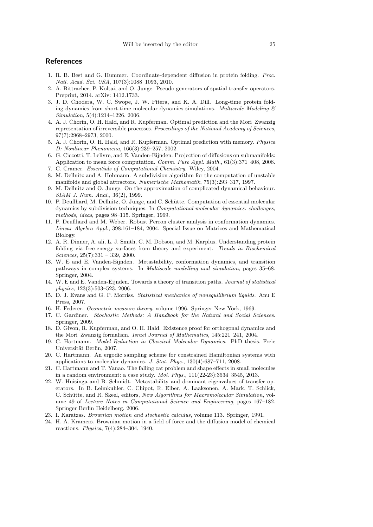### **References**

- 1. R. B. Best and G. Hummer. Coordinate-dependent diffusion in protein folding. Proc. Natl. Acad. Sci. USA, 107(3):1088–1093, 2010.
- 2. A. Bittracher, P. Koltai, and O. Junge. Pseudo generators of spatial transfer operators. Preprint, 2014. arXiv: 1412.1733.
- 3. J. D. Chodera, W. C. Swope, J. W. Pitera, and K. A. Dill. Long-time protein folding dynamics from short-time molecular dynamics simulations. *Multiscale Modeling*  $\mathcal{B}$ Simulation, 5(4):1214–1226, 2006.
- 4. A. J. Chorin, O. H. Hald, and R. Kupferman. Optimal prediction and the Mori–Zwanzig representation of irreversible processes. Proceedings of the National Academy of Sciences, 97(7):2968–2973, 2000.
- 5. A. J. Chorin, O. H. Hald, and R. Kupferman. Optimal prediction with memory. Physica D: Nonlinear Phenomena, 166(3):239–257, 2002.
- 6. G. Ciccotti, T. Lelivre, and E. Vanden-Eijnden. Projection of diffusions on submanifolds: Application to mean force computation. Comm. Pure Appl. Math., 61(3):371–408, 2008.
- 7. C. Cramer. Essentials of Computational Chemistry. Wiley, 2004.
- 8. M. Dellnitz and A. Hohmann. A subdivision algorithm for the computation of unstable manifolds and global attractors. Numerische Mathematik, 75(3):293–317, 1997.
- 9. M. Dellnitz and O. Junge. On the approximation of complicated dynamical behaviour. SIAM J. Num. Anal., 36(2), 1999.
- 10. P. Deuflhard, M. Dellnitz, O. Junge, and C. Schütte. Computation of essential molecular dynamics by subdivision techniques. In Computational molecular dynamics: challenges, methods, ideas, pages 98–115. Springer, 1999.
- 11. P. Deuflhard and M. Weber. Robust Perron cluster analysis in conformation dynamics. Linear Algebra Appl., 398:161–184, 2004. Special Issue on Matrices and Mathematical Biology.
- 12. A. R. Dinner, A. ali, L. J. Smith, C. M. Dobson, and M. Karplus. Understanding protein folding via free-energy surfaces from theory and experiment. Trends in Biochemical  $Sciences, 25(7):331 - 339, 2000.$
- 13. W. E and E. Vanden-Eijnden. Metastability, conformation dynamics, and transition pathways in complex systems. In Multiscale modelling and simulation, pages 35–68. Springer, 2004.
- 14. W. E and E. Vanden-Eijnden. Towards a theory of transition paths. Journal of statistical physics, 123(3):503–523, 2006.
- 15. D. J. Evans and G. P. Morriss. Statistical mechanics of nonequilibrium liquids. Anu E Press, 2007.
- 16. H. Federer. Geometric measure theory, volume 1996. Springer New York, 1969.
- 17. C. Gardiner. Stochastic Methods: A Handbook for the Natural and Social Sciences. Springer, 2009.
- 18. D. Givon, R. Kupferman, and O. H. Hald. Existence proof for orthogonal dynamics and the Mori–Zwanzig formalism. Israel Journal of Mathematics, 145:221–241, 2004.
- 19. C. Hartmann. Model Reduction in Classical Molecular Dynamics. PhD thesis, Freie Universität Berlin, 2007.
- 20. C. Hartmann. An ergodic sampling scheme for constrained Hamiltonian systems with applications to molecular dynamics. J. Stat. Phys., 130(4):687–711, 2008.
- 21. C. Hartmann and T. Yanao. The falling cat problem and shape effects in small molecules in a random environment: a case study. Mol. Phys., 111(22-23):3534–3545, 2013.
- 22. W. Huisinga and B. Schmidt. Metastability and dominant eigenvalues of transfer operators. In B. Leimkuhler, C. Chipot, R. Elber, A. Laaksonen, A. Mark, T. Schlick, C. Schütte, and R. Skeel, editors, New Algorithms for Macromolecular Simulation, volume 49 of Lecture Notes in Computational Science and Engineering, pages 167–182. Springer Berlin Heidelberg, 2006.
- 23. I. Karatzas. Brownian motion and stochastic calculus, volume 113. Springer, 1991.
- 24. H. A. Kramers. Brownian motion in a field of force and the diffusion model of chemical reactions. Physica, 7(4):284–304, 1940.